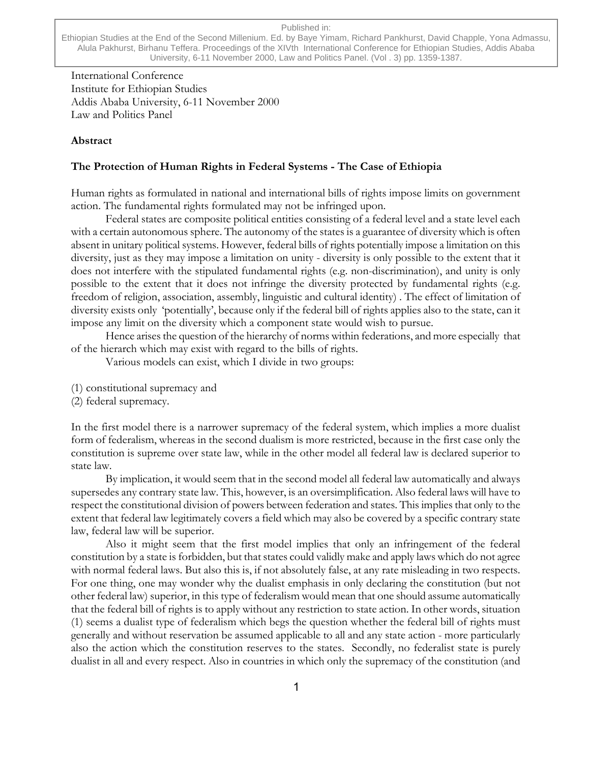#### Published in:

Ethiopian Studies at the End of the Second Millenium. Ed. by Baye Yimam, Richard Pankhurst, David Chapple, Yona Admassu, Alula Pakhurst, Birhanu Teffera. Proceedings of the XIVth International Conference for Ethiopian Studies, Addis Ababa University, 6-11 November 2000, Law and Politics Panel. (Vol . 3) pp. 1359-1387.

International Conference Institute for Ethiopian Studies Addis Ababa University, 6-11 November 2000 Law and Politics Panel

#### **Abstract**

### **The Protection of Human Rights in Federal Systems - The Case of Ethiopia**

Human rights as formulated in national and international bills of rights impose limits on government action. The fundamental rights formulated may not be infringed upon.

Federal states are composite political entities consisting of a federal level and a state level each with a certain autonomous sphere. The autonomy of the states is a guarantee of diversity which is often absent in unitary political systems. However, federal bills of rights potentially impose a limitation on this diversity, just as they may impose a limitation on unity - diversity is only possible to the extent that it does not interfere with the stipulated fundamental rights (e.g. non-discrimination), and unity is only possible to the extent that it does not infringe the diversity protected by fundamental rights (e.g. freedom of religion, association, assembly, linguistic and cultural identity) . The effect of limitation of diversity exists only 'potentially', because only if the federal bill of rights applies also to the state, can it impose any limit on the diversity which a component state would wish to pursue.

Hence arises the question of the hierarchy of norms within federations, and more especially that of the hierarch which may exist with regard to the bills of rights.

Various models can exist, which I divide in two groups:

- (1) constitutional supremacy and
- (2) federal supremacy.

In the first model there is a narrower supremacy of the federal system, which implies a more dualist form of federalism, whereas in the second dualism is more restricted, because in the first case only the constitution is supreme over state law, while in the other model all federal law is declared superior to state law.

By implication, it would seem that in the second model all federal law automatically and always supersedes any contrary state law. This, however, is an oversimplification. Also federal laws will have to respect the constitutional division of powers between federation and states. This implies that only to the extent that federal law legitimately covers a field which may also be covered by a specific contrary state law, federal law will be superior.

Also it might seem that the first model implies that only an infringement of the federal constitution by a state is forbidden, but that states could validly make and apply laws which do not agree with normal federal laws. But also this is, if not absolutely false, at any rate misleading in two respects. For one thing, one may wonder why the dualist emphasis in only declaring the constitution (but not other federal law) superior, in this type of federalism would mean that one should assume automatically that the federal bill of rights is to apply without any restriction to state action. In other words, situation (1) seems a dualist type of federalism which begs the question whether the federal bill of rights must generally and without reservation be assumed applicable to all and any state action - more particularly also the action which the constitution reserves to the states. Secondly, no federalist state is purely dualist in all and every respect. Also in countries in which only the supremacy of the constitution (and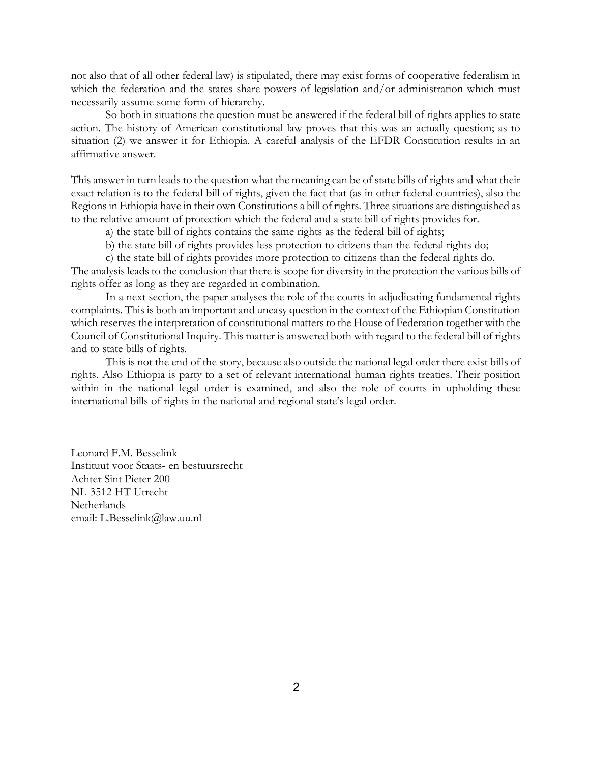not also that of all other federal law) is stipulated, there may exist forms of cooperative federalism in which the federation and the states share powers of legislation and/or administration which must necessarily assume some form of hierarchy.

So both in situations the question must be answered if the federal bill of rights applies to state action. The history of American constitutional law proves that this was an actually question; as to situation (2) we answer it for Ethiopia. A careful analysis of the EFDR Constitution results in an affirmative answer.

This answer in turn leads to the question what the meaning can be of state bills of rights and what their exact relation is to the federal bill of rights, given the fact that (as in other federal countries), also the Regions in Ethiopia have in their own Constitutions a bill of rights. Three situations are distinguished as to the relative amount of protection which the federal and a state bill of rights provides for.

a) the state bill of rights contains the same rights as the federal bill of rights;

b) the state bill of rights provides less protection to citizens than the federal rights do;

c) the state bill of rights provides more protection to citizens than the federal rights do.

The analysis leads to the conclusion that there is scope for diversity in the protection the various bills of rights offer as long as they are regarded in combination.

In a next section, the paper analyses the role of the courts in adjudicating fundamental rights complaints. This is both an important and uneasy question in the context of the Ethiopian Constitution which reserves the interpretation of constitutional matters to the House of Federation together with the Council of Constitutional Inquiry. This matter is answered both with regard to the federal bill of rights and to state bills of rights.

This is not the end of the story, because also outside the national legal order there exist bills of rights. Also Ethiopia is party to a set of relevant international human rights treaties. Their position within in the national legal order is examined, and also the role of courts in upholding these international bills of rights in the national and regional state's legal order.

Leonard F.M. Besselink Instituut voor Staats- en bestuursrecht Achter Sint Pieter 200 NL-3512 HT Utrecht Netherlands email: L.Besselink@law.uu.nl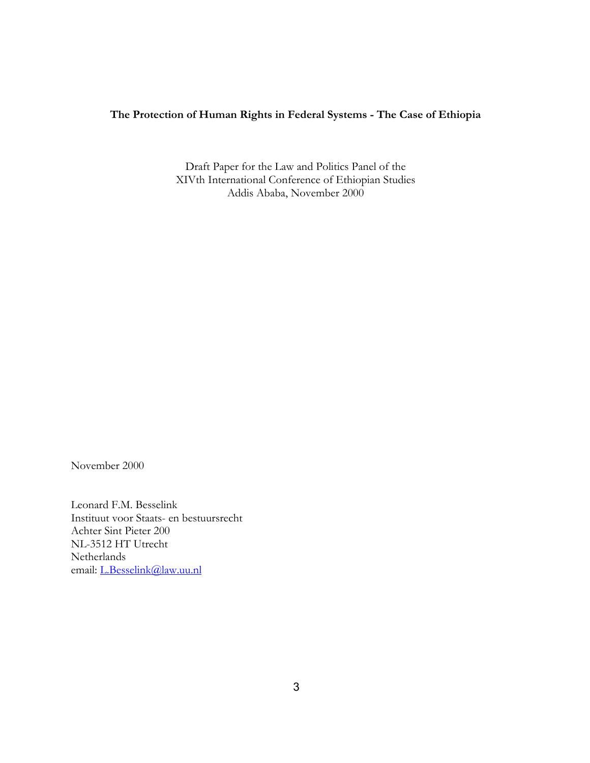# **The Protection of Human Rights in Federal Systems - The Case of Ethiopia**

Draft Paper for the Law and Politics Panel of the XIVth International Conference of Ethiopian Studies Addis Ababa, November 2000

November 2000

Leonard F.M. Besselink Instituut voor Staats- en bestuursrecht Achter Sint Pieter 200 NL-3512 HT Utrecht Netherlands email: [L.Besselink@law.uu.nl](mailto:L.Besselink@law.uu.nl)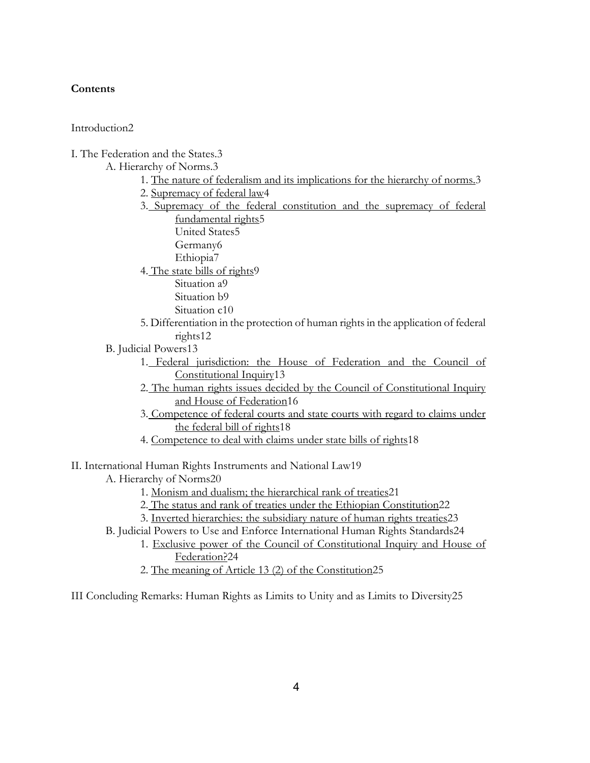## **Contents**

Introduction2

I. The Federation and the States.3

A. Hierarchy of Norms.3

- 1. The nature of federalism and its implications for the hierarchy of norms.3
- 2. Supremacy of federal law4
- 3. Supremacy of the federal constitution and the supremacy of federal fundamental rights5
	- United States5 Germany6 Ethiopia7
- 4. The state bills of rights9
	- Situation a9
	- Situation b9
	- Situation c10
- 5. Differentiation in the protection of human rights in the application of federal rights12
- B. Judicial Powers13
	- 1. Federal jurisdiction: the House of Federation and the Council of Constitutional Inquiry13
	- 2. The human rights issues decided by the Council of Constitutional Inquiry and House of Federation16
	- 3. Competence of federal courts and state courts with regard to claims under the federal bill of rights18
	- 4. Competence to deal with claims under state bills of rights18
- II. International Human Rights Instruments and National Law19
	- A. Hierarchy of Norms20
		- 1. Monism and dualism; the hierarchical rank of treaties21
		- 2. The status and rank of treaties under the Ethiopian Constitution22
		- 3. Inverted hierarchies: the subsidiary nature of human rights treaties23
	- B. Judicial Powers to Use and Enforce International Human Rights Standards24
		- 1. Exclusive power of the Council of Constitutional Inquiry and House of Federation?24
		- 2. The meaning of Article 13 (2) of the Constitution25

III Concluding Remarks: Human Rights as Limits to Unity and as Limits to Diversity25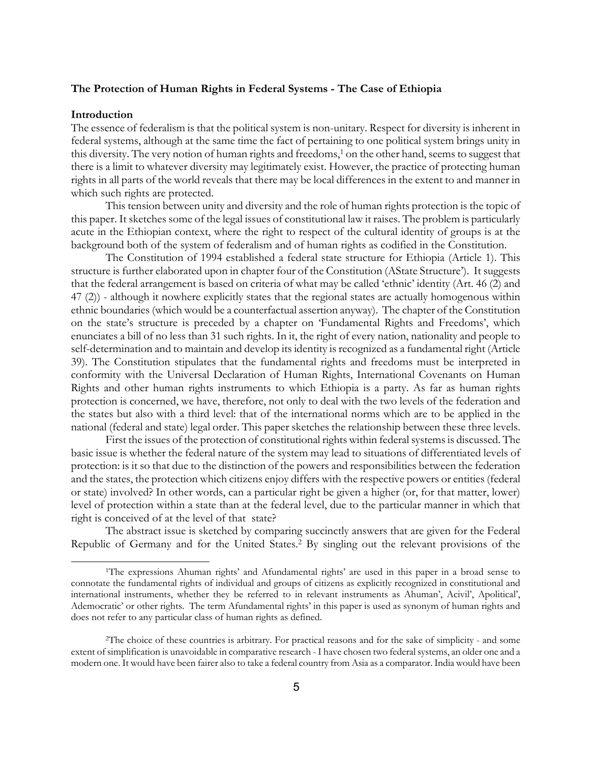### <span id="page-4-1"></span>**The Protection of Human Rights in Federal Systems - The Case of Ethiopia**

#### **Introduction**

l

The essence of federalism is that the political system is non-unitary. Respect for diversity is inherent in federal systems, although at the same time the fact of pertaining to one political system brings unity in this diversity. The very notion of human rights and freedoms,<sup>1</sup> on the other hand, seems to suggest that there is a limit to whatever diversity may legitimately exist. However, the practice of protecting human rights in all parts of the world reveals that there may be local differences in the extent to and manner in which such rights are protected.

This tension between unity and diversity and the role of human rights protection is the topic of this paper. It sketches some of the legal issues of constitutional law it raises. The problem is particularly acute in the Ethiopian context, where the right to respect of the cultural identity of groups is at the background both of the system of federalism and of human rights as codified in the Constitution.

The Constitution of 1994 established a federal state structure for Ethiopia (Article 1). This structure is further elaborated upon in chapter four of the Constitution (AState Structure'). It suggests that the federal arrangement is based on criteria of what may be called 'ethnic' identity (Art. 46 (2) and 47 (2)) - although it nowhere explicitly states that the regional states are actually homogenous within ethnic boundaries (which would be a counterfactual assertion anyway). The chapter of the Constitution on the state's structure is preceded by a chapter on 'Fundamental Rights and Freedoms', which enunciates a bill of no less than 31 such rights. In it, the right of every nation, nationality and people to self-determination and to maintain and develop its identity is recognized as a fundamental right (Article 39). The Constitution stipulates that the fundamental rights and freedoms must be interpreted in conformity with the Universal Declaration of Human Rights, International Covenants on Human Rights and other human rights instruments to which Ethiopia is a party. As far as human rights protection is concerned, we have, therefore, not only to deal with the two levels of the federation and the states but also with a third level: that of the international norms which are to be applied in the national (federal and state) legal order. This paper sketches the relationship between these three levels.

First the issues of the protection of constitutional rights within federal systems is discussed. The basic issue is whether the federal nature of the system may lead to situations of differentiated levels of protection: is it so that due to the distinction of the powers and responsibilities between the federation and the states, the protection which citizens enjoy differs with the respective powers or entities (federal or state) involved? In other words, can a particular right be given a higher (or, for that matter, lower) level of protection within a state than at the federal level, due to the particular manner in which that right is conceived of at the level of that state?

The abstract issue is sketched by comparing succinctly answers that are given for the Federal Republic of Germany and for the United States[.2](#page-4-1) By singling out the relevant provisions of the

<span id="page-4-0"></span><sup>1</sup>The expressions Ahuman rights' and Afundamental rights' are used in this paper in a broad sense to connotate the fundamental rights of individual and groups of citizens as explicitly recognized in constitutional and international instruments, whether they be referred to in relevant instruments as Ahuman', Acivil', Apolitical', Ademocratic' or other rights. The term Afundamental rights' in this paper is used as synonym of human rights and does not refer to any particular class of human rights as defined.

<sup>2</sup>The choice of these countries is arbitrary. For practical reasons and for the sake of simplicity - and some extent of simplification is unavoidable in comparative research - I have chosen two federal systems, an older one and a modern one. It would have been fairer also to take a federal country from Asia as a comparator. India would have been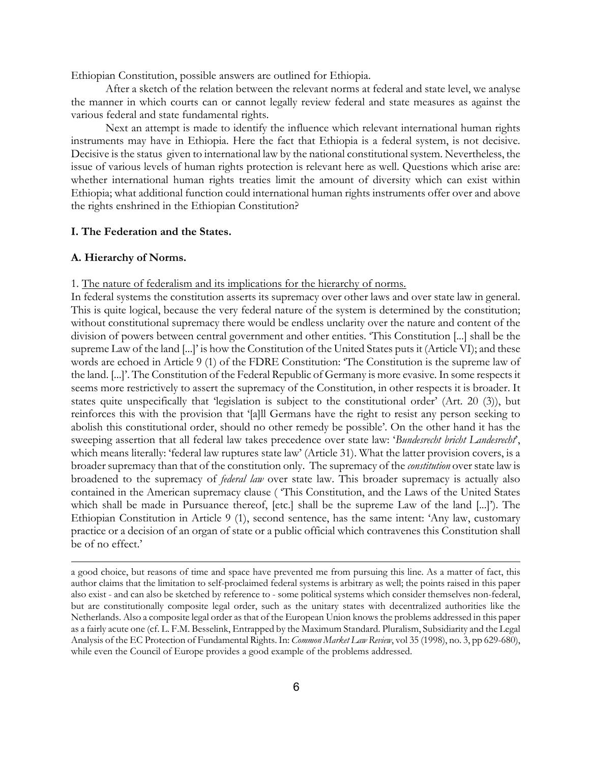Ethiopian Constitution, possible answers are outlined for Ethiopia.

After a sketch of the relation between the relevant norms at federal and state level, we analyse the manner in which courts can or cannot legally review federal and state measures as against the various federal and state fundamental rights.

Next an attempt is made to identify the influence which relevant international human rights instruments may have in Ethiopia. Here the fact that Ethiopia is a federal system, is not decisive. Decisive is the status given to international law by the national constitutional system. Nevertheless, the issue of various levels of human rights protection is relevant here as well. Questions which arise are: whether international human rights treaties limit the amount of diversity which can exist within Ethiopia; what additional function could international human rights instruments offer over and above the rights enshrined in the Ethiopian Constitution?

### **I. The Federation and the States.**

#### **A. Hierarchy of Norms.**

l

### 1. The nature of federalism and its implications for the hierarchy of norms.

In federal systems the constitution asserts its supremacy over other laws and over state law in general. This is quite logical, because the very federal nature of the system is determined by the constitution; without constitutional supremacy there would be endless unclarity over the nature and content of the division of powers between central government and other entities. 'This Constitution [...] shall be the supreme Law of the land [...]' is how the Constitution of the United States puts it (Article VI); and these words are echoed in Article 9 (1) of the FDRE Constitution: 'The Constitution is the supreme law of the land. [...]'. The Constitution of the Federal Republic of Germany is more evasive. In some respects it seems more restrictively to assert the supremacy of the Constitution, in other respects it is broader. It states quite unspecifically that 'legislation is subject to the constitutional order' (Art. 20 (3)), but reinforces this with the provision that '[a]ll Germans have the right to resist any person seeking to abolish this constitutional order, should no other remedy be possible'. On the other hand it has the sweeping assertion that all federal law takes precedence over state law: '*Bundesrecht bricht Landesrecht*', which means literally: 'federal law ruptures state law' (Article 31). What the latter provision covers, is a broader supremacy than that of the constitution only. The supremacy of the *constitution* over state law is broadened to the supremacy of *federal law* over state law. This broader supremacy is actually also contained in the American supremacy clause ( 'This Constitution, and the Laws of the United States which shall be made in Pursuance thereof, [etc.] shall be the supreme Law of the land [...]'). The Ethiopian Constitution in Article 9 (1), second sentence, has the same intent: 'Any law, customary practice or a decision of an organ of state or a public official which contravenes this Constitution shall be of no effect.'

a good choice, but reasons of time and space have prevented me from pursuing this line. As a matter of fact, this author claims that the limitation to self-proclaimed federal systems is arbitrary as well; the points raised in this paper also exist - and can also be sketched by reference to - some political systems which consider themselves non-federal, but are constitutionally composite legal order, such as the unitary states with decentralized authorities like the Netherlands. Also a composite legal order as that of the European Union knows the problems addressed in this paper as a fairly acute one (cf. L. F.M. Besselink, Entrapped by the Maximum Standard. Pluralism, Subsidiarity and the Legal Analysis of the EC Protection of Fundamental Rights. In: *Common Market Law Review*, vol 35 (1998), no. 3, pp 629-680), while even the Council of Europe provides a good example of the problems addressed.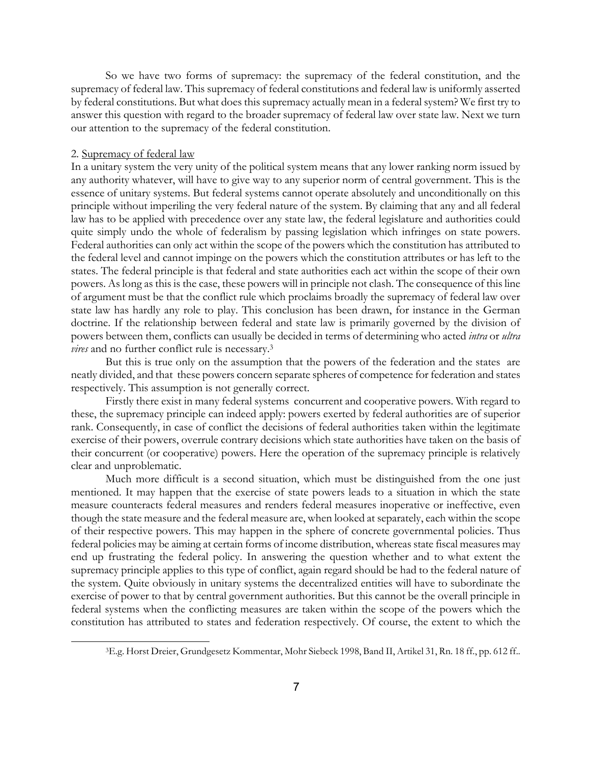So we have two forms of supremacy: the supremacy of the federal constitution, and the supremacy of federal law. This supremacy of federal constitutions and federal law is uniformly asserted by federal constitutions. But what does this supremacy actually mean in a federal system? We first try to answer this question with regard to the broader supremacy of federal law over state law. Next we turn our attention to the supremacy of the federal constitution.

### 2. Supremacy of federal law

l

In a unitary system the very unity of the political system means that any lower ranking norm issued by any authority whatever, will have to give way to any superior norm of central government. This is the essence of unitary systems. But federal systems cannot operate absolutely and unconditionally on this principle without imperiling the very federal nature of the system. By claiming that any and all federal law has to be applied with precedence over any state law, the federal legislature and authorities could quite simply undo the whole of federalism by passing legislation which infringes on state powers. Federal authorities can only act within the scope of the powers which the constitution has attributed to the federal level and cannot impinge on the powers which the constitution attributes or has left to the states. The federal principle is that federal and state authorities each act within the scope of their own powers. As long as this is the case, these powers will in principle not clash. The consequence of this line of argument must be that the conflict rule which proclaims broadly the supremacy of federal law over state law has hardly any role to play. This conclusion has been drawn, for instance in the German doctrine. If the relationship between federal and state law is primarily governed by the division of powers between them, conflicts can usually be decided in terms of determining who acted *intra* or *ultra vires* and no further conflict rule is necessary.[3](#page-6-0)

But this is true only on the assumption that the powers of the federation and the states are neatly divided, and that these powers concern separate spheres of competence for federation and states respectively. This assumption is not generally correct.

Firstly there exist in many federal systems concurrent and cooperative powers. With regard to these, the supremacy principle can indeed apply: powers exerted by federal authorities are of superior rank. Consequently, in case of conflict the decisions of federal authorities taken within the legitimate exercise of their powers, overrule contrary decisions which state authorities have taken on the basis of their concurrent (or cooperative) powers. Here the operation of the supremacy principle is relatively clear and unproblematic.

Much more difficult is a second situation, which must be distinguished from the one just mentioned. It may happen that the exercise of state powers leads to a situation in which the state measure counteracts federal measures and renders federal measures inoperative or ineffective, even though the state measure and the federal measure are, when looked at separately, each within the scope of their respective powers. This may happen in the sphere of concrete governmental policies. Thus federal policies may be aiming at certain forms of income distribution, whereas state fiscal measures may end up frustrating the federal policy. In answering the question whether and to what extent the supremacy principle applies to this type of conflict, again regard should be had to the federal nature of the system. Quite obviously in unitary systems the decentralized entities will have to subordinate the exercise of power to that by central government authorities. But this cannot be the overall principle in federal systems when the conflicting measures are taken within the scope of the powers which the constitution has attributed to states and federation respectively. Of course, the extent to which the

<span id="page-6-0"></span><sup>3</sup>E.g. Horst Dreier, Grundgesetz Kommentar, Mohr Siebeck 1998, Band II, Artikel 31, Rn. 18 ff., pp. 612 ff..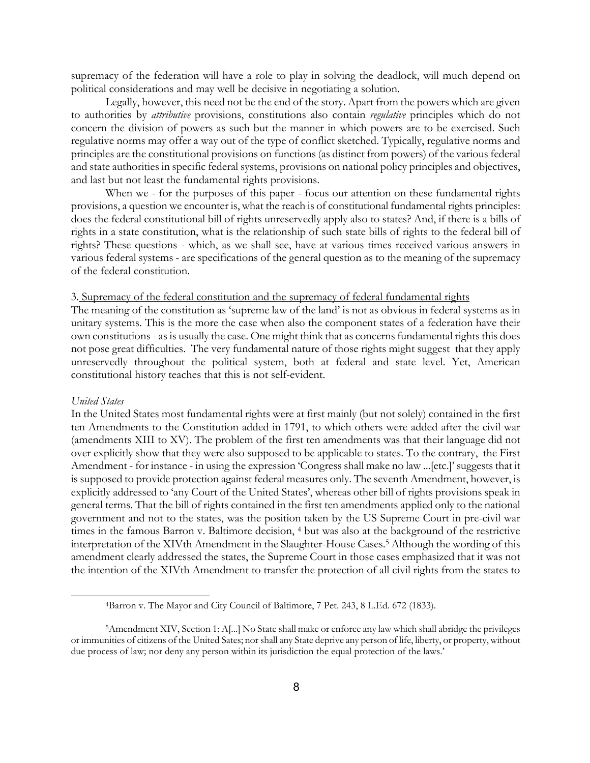supremacy of the federation will have a role to play in solving the deadlock, will much depend on political considerations and may well be decisive in negotiating a solution.

Legally, however, this need not be the end of the story. Apart from the powers which are given to authorities by *attributive* provisions, constitutions also contain *regulative* principles which do not concern the division of powers as such but the manner in which powers are to be exercised. Such regulative norms may offer a way out of the type of conflict sketched. Typically, regulative norms and principles are the constitutional provisions on functions (as distinct from powers) of the various federal and state authorities in specific federal systems, provisions on national policy principles and objectives, and last but not least the fundamental rights provisions.

When we - for the purposes of this paper - focus our attention on these fundamental rights provisions, a question we encounter is, what the reach is of constitutional fundamental rights principles: does the federal constitutional bill of rights unreservedly apply also to states? And, if there is a bills of rights in a state constitution, what is the relationship of such state bills of rights to the federal bill of rights? These questions - which, as we shall see, have at various times received various answers in various federal systems - are specifications of the general question as to the meaning of the supremacy of the federal constitution.

## 3. Supremacy of the federal constitution and the supremacy of federal fundamental rights

The meaning of the constitution as 'supreme law of the land' is not as obvious in federal systems as in unitary systems. This is the more the case when also the component states of a federation have their own constitutions - as is usually the case. One might think that as concerns fundamental rights this does not pose great difficulties. The very fundamental nature of those rights might suggest that they apply unreservedly throughout the political system, both at federal and state level. Yet, American constitutional history teaches that this is not self-evident.

#### *United States*

l

In the United States most fundamental rights were at first mainly (but not solely) contained in the first ten Amendments to the Constitution added in 1791, to which others were added after the civil war (amendments XIII to XV). The problem of the first ten amendments was that their language did not over explicitly show that they were also supposed to be applicable to states. To the contrary, the First Amendment - for instance - in using the expression 'Congress shall make no law ...[etc.]' suggests that it is supposed to provide protection against federal measures only. The seventh Amendment, however, is explicitly addressed to 'any Court of the United States', whereas other bill of rights provisions speak in general terms. That the bill of rights contained in the first ten amendments applied only to the national government and not to the states, was the position taken by the US Supreme Court in pre-civil war times in the famous Barron v. Baltimore decision, [4](#page-7-0) but was also at the background of the restrictive interpretation of the XIVth Amendment in the Slaughter-House Cases[.5](#page-7-1) Although the wording of this amendment clearly addressed the states, the Supreme Court in those cases emphasized that it was not the intention of the XIVth Amendment to transfer the protection of all civil rights from the states to

<span id="page-7-1"></span><span id="page-7-0"></span><sup>4</sup>Barron v. The Mayor and City Council of Baltimore, 7 Pet. 243, 8 L.Ed. 672 (1833).

<sup>5</sup>Amendment XIV, Section 1: A[...] No State shall make or enforce any law which shall abridge the privileges or immunities of citizens of the United Sates; nor shall any State deprive any person of life, liberty, or property, without due process of law; nor deny any person within its jurisdiction the equal protection of the laws.'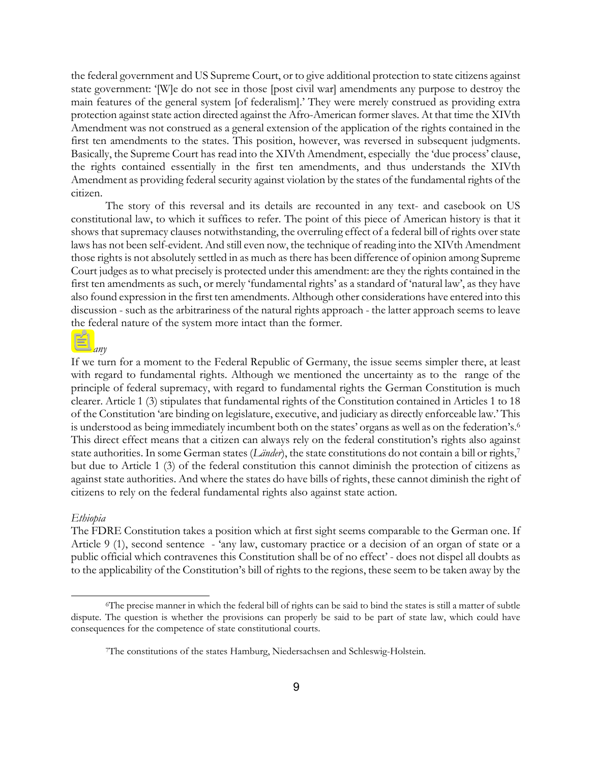the federal government and US Supreme Court, or to give additional protection to state citizens against state government: '[W]e do not see in those [post civil war] amendments any purpose to destroy the main features of the general system [of federalism].' They were merely construed as providing extra protection against state action directed against the Afro-American former slaves. At that time the XIVth Amendment was not construed as a general extension of the application of the rights contained in the first ten amendments to the states. This position, however, was reversed in subsequent judgments. Basically, the Supreme Court has read into the XIVth Amendment, especially the 'due process' clause, the rights contained essentially in the first ten amendments, and thus understands the XIVth Amendment as providing federal security against violation by the states of the fundamental rights of the citizen.

The story of this reversal and its details are recounted in any text- and casebook on US constitutional law, to which it suffices to refer. The point of this piece of American history is that it shows that supremacy clauses notwithstanding, the overruling effect of a federal bill of rights over state laws has not been self-evident. And still even now, the technique of reading into the XIVth Amendment those rights is not absolutely settled in as much as there has been difference of opinion among Supreme Court judges as to what precisely is protected under this amendment: are they the rights contained in the first ten amendments as such, or merely 'fundamental rights' as a standard of 'natural law', as they have also found expression in the first ten amendments. Although other considerations have entered into this discussion - such as the arbitrariness of the natural rights approach - the latter approach seems to leave the federal nature of the system more intact than the former.

### *Germany*

If we turn for a moment to the Federal Republic of Germany, the issue seems simpler there, at least with regard to fundamental rights. Although we mentioned the uncertainty as to the range of the principle of federal supremacy, with regard to fundamental rights the German Constitution is much clearer. Article 1 (3) stipulates that fundamental rights of the Constitution contained in Articles 1 to 18 of the Constitution 'are binding on legislature, executive, and judiciary as directly enforceable law.' This is understood as being immediately incumbent both on the states' organs as well as on the federation's.<sup>6</sup> This direct effect means that a citizen can always rely on the federal constitution's rights also against authorities. In some German states (*Länder*), the state constitutions do not contain a bill or rights,<sup>7</sup> but due to Article 1 (3) of the federal constitution this cannot diminish the protection of citizens as against state authorities. And where the states do have bills of rights, these cannot diminish the right of citizens to rely on the federal fundamental rights also against state action.

#### *Ethiopia*

l

The FDRE Constitution takes a position which at first sight seems comparable to the German one. If Article 9 (1), second sentence - 'any law, customary practice or a decision of an organ of state or a public official which contravenes this Constitution shall be of no effect' - does not dispel all doubts as to the applicability of the Constitution's bill of rights to the regions, these seem to be taken away by the

<span id="page-8-0"></span><sup>6</sup>The precise manner in which the federal bill of rights can be said to bind the states is still a matter of subtle dispute. The question is whether the provisions can properly be said to be part of state law, which could have consequences for the competence of state constitutional courts.

<span id="page-8-1"></span><sup>7</sup>The constitutions of the states Hamburg, Niedersachsen and Schleswig-Holstein.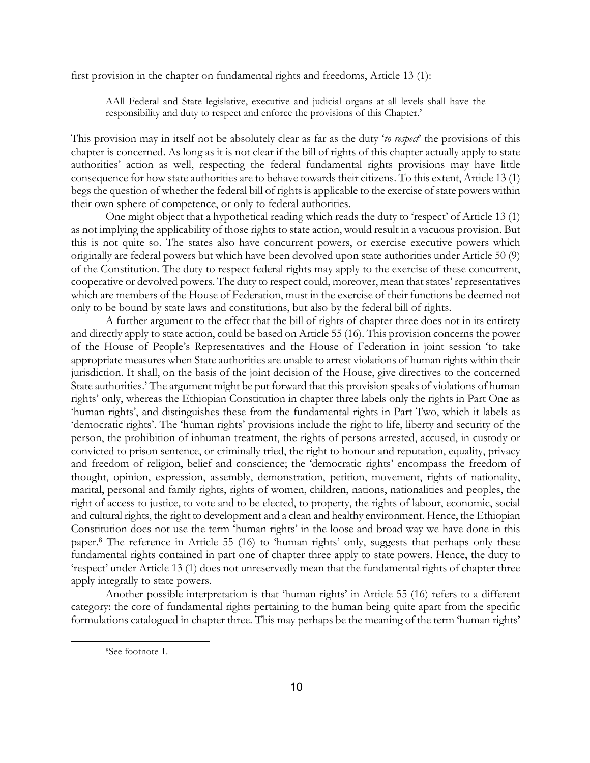first provision in the chapter on fundamental rights and freedoms, Article 13 (1):

AAll Federal and State legislative, executive and judicial organs at all levels shall have the responsibility and duty to respect and enforce the provisions of this Chapter.'

This provision may in itself not be absolutely clear as far as the duty '*to respect*' the provisions of this chapter is concerned. As long as it is not clear if the bill of rights of this chapter actually apply to state authorities' action as well, respecting the federal fundamental rights provisions may have little consequence for how state authorities are to behave towards their citizens. To this extent, Article 13 (1) begs the question of whether the federal bill of rights is applicable to the exercise of state powers within their own sphere of competence, or only to federal authorities.

One might object that a hypothetical reading which reads the duty to 'respect' of Article 13 (1) as not implying the applicability of those rights to state action, would result in a vacuous provision. But this is not quite so. The states also have concurrent powers, or exercise executive powers which originally are federal powers but which have been devolved upon state authorities under Article 50 (9) of the Constitution. The duty to respect federal rights may apply to the exercise of these concurrent, cooperative or devolved powers. The duty to respect could, moreover, mean that states' representatives which are members of the House of Federation, must in the exercise of their functions be deemed not only to be bound by state laws and constitutions, but also by the federal bill of rights.

A further argument to the effect that the bill of rights of chapter three does not in its entirety and directly apply to state action, could be based on Article 55 (16). This provision concerns the power of the House of People's Representatives and the House of Federation in joint session 'to take appropriate measures when State authorities are unable to arrest violations of human rights within their jurisdiction. It shall, on the basis of the joint decision of the House, give directives to the concerned State authorities.' The argument might be put forward that this provision speaks of violations of human rights' only, whereas the Ethiopian Constitution in chapter three labels only the rights in Part One as 'human rights', and distinguishes these from the fundamental rights in Part Two, which it labels as 'democratic rights'. The 'human rights' provisions include the right to life, liberty and security of the person, the prohibition of inhuman treatment, the rights of persons arrested, accused, in custody or convicted to prison sentence, or criminally tried, the right to honour and reputation, equality, privacy and freedom of religion, belief and conscience; the 'democratic rights' encompass the freedom of thought, opinion, expression, assembly, demonstration, petition, movement, rights of nationality, marital, personal and family rights, rights of women, children, nations, nationalities and peoples, the right of access to justice, to vote and to be elected, to property, the rights of labour, economic, social and cultural rights, the right to development and a clean and healthy environment. Hence, the Ethiopian Constitution does not use the term 'human rights' in the loose and broad way we have done in this paper[.8](#page-9-0) The reference in Article 55 (16) to 'human rights' only, suggests that perhaps only these fundamental rights contained in part one of chapter three apply to state powers. Hence, the duty to 'respect' under Article 13 (1) does not unreservedly mean that the fundamental rights of chapter three apply integrally to state powers.

Another possible interpretation is that 'human rights' in Article 55 (16) refers to a different category: the core of fundamental rights pertaining to the human being quite apart from the specific formulations catalogued in chapter three. This may perhaps be the meaning of the term 'human rights'

<span id="page-9-0"></span><sup>8</sup>See footnote 1.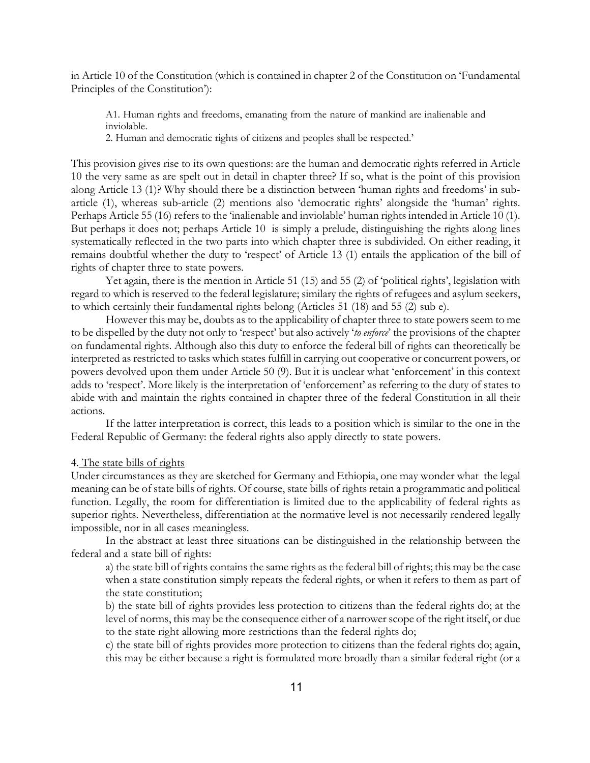in Article 10 of the Constitution (which is contained in chapter 2 of the Constitution on 'Fundamental Principles of the Constitution'):

A1. Human rights and freedoms, emanating from the nature of mankind are inalienable and inviolable.

2. Human and democratic rights of citizens and peoples shall be respected.'

This provision gives rise to its own questions: are the human and democratic rights referred in Article 10 the very same as are spelt out in detail in chapter three? If so, what is the point of this provision along Article 13 (1)? Why should there be a distinction between 'human rights and freedoms' in subarticle (1), whereas sub-article (2) mentions also 'democratic rights' alongside the 'human' rights. Perhaps Article 55 (16) refers to the 'inalienable and inviolable' human rights intended in Article 10 (1). But perhaps it does not; perhaps Article 10 is simply a prelude, distinguishing the rights along lines systematically reflected in the two parts into which chapter three is subdivided. On either reading, it remains doubtful whether the duty to 'respect' of Article 13 (1) entails the application of the bill of rights of chapter three to state powers.

Yet again, there is the mention in Article 51 (15) and 55 (2) of 'political rights', legislation with regard to which is reserved to the federal legislature; similary the rights of refugees and asylum seekers, to which certainly their fundamental rights belong (Articles 51 (18) and 55 (2) sub e).

However this may be, doubts as to the applicability of chapter three to state powers seem to me to be dispelled by the duty not only to 'respect' but also actively '*to enforce*' the provisions of the chapter on fundamental rights. Although also this duty to enforce the federal bill of rights can theoretically be interpreted as restricted to tasks which states fulfill in carrying out cooperative or concurrent powers, or powers devolved upon them under Article 50 (9). But it is unclear what 'enforcement' in this context adds to 'respect'. More likely is the interpretation of 'enforcement' as referring to the duty of states to abide with and maintain the rights contained in chapter three of the federal Constitution in all their actions.

If the latter interpretation is correct, this leads to a position which is similar to the one in the Federal Republic of Germany: the federal rights also apply directly to state powers.

### 4. The state bills of rights

Under circumstances as they are sketched for Germany and Ethiopia, one may wonder what the legal meaning can be of state bills of rights. Of course, state bills of rights retain a programmatic and political function. Legally, the room for differentiation is limited due to the applicability of federal rights as superior rights. Nevertheless, differentiation at the normative level is not necessarily rendered legally impossible, nor in all cases meaningless.

In the abstract at least three situations can be distinguished in the relationship between the federal and a state bill of rights:

a) the state bill of rights contains the same rights as the federal bill of rights; this may be the case when a state constitution simply repeats the federal rights, or when it refers to them as part of the state constitution;

b) the state bill of rights provides less protection to citizens than the federal rights do; at the level of norms, this may be the consequence either of a narrower scope of the right itself, or due to the state right allowing more restrictions than the federal rights do;

c) the state bill of rights provides more protection to citizens than the federal rights do; again, this may be either because a right is formulated more broadly than a similar federal right (or a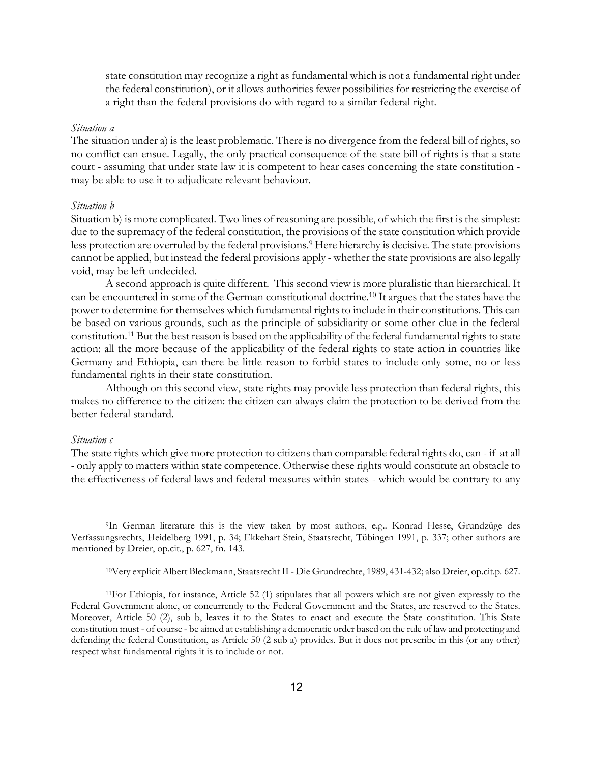state constitution may recognize a right as fundamental which is not a fundamental right under the federal constitution), or it allows authorities fewer possibilities for restricting the exercise of a right than the federal provisions do with regard to a similar federal right.

### *Situation a*

The situation under a) is the least problematic. There is no divergence from the federal bill of rights, so no conflict can ensue. Legally, the only practical consequence of the state bill of rights is that a state court - assuming that under state law it is competent to hear cases concerning the state constitution may be able to use it to adjudicate relevant behaviour.

#### *Situation b*

Situation b) is more complicated. Two lines of reasoning are possible, of which the first is the simplest: due to the supremacy of the federal constitution, the provisions of the state constitution which provide less protection are overruled by the federal provisions.<sup>9</sup> Here hierarchy is decisive. The state provisions cannot be applied, but instead the federal provisions apply - whether the state provisions are also legally void, may be left undecided.

A second approach is quite different. This second view is more pluralistic than hierarchical. It can be encountered in some of the German constitutional doctrine[.10](#page-11-1) It argues that the states have the power to determine for themselves which fundamental rights to include in their constitutions. This can be based on various grounds, such as the principle of subsidiarity or some other clue in the federal constitution[.11 B](#page-11-2)ut the best reason is based on the applicability of the federal fundamental rights to state action: all the more because of the applicability of the federal rights to state action in countries like Germany and Ethiopia, can there be little reason to forbid states to include only some, no or less fundamental rights in their state constitution.

Although on this second view, state rights may provide less protection than federal rights, this makes no difference to the citizen: the citizen can always claim the protection to be derived from the better federal standard.

#### *Situation c*

l

The state rights which give more protection to citizens than comparable federal rights do, can - if at all - only apply to matters within state competence. Otherwise these rights would constitute an obstacle to the effectiveness of federal laws and federal measures within states - which would be contrary to any

<span id="page-11-0"></span><sup>9</sup>In German literature this is the view taken by most authors, e.g.. Konrad Hesse, Grundzüge des Verfassungsrechts, Heidelberg 1991, p. 34; Ekkehart Stein, Staatsrecht, Tübingen 1991, p. 337; other authors are mentioned by Dreier, op.cit., p. 627, fn. 143.

<span id="page-11-2"></span><span id="page-11-1"></span><sup>10</sup>Very explicit Albert Bleckmann, Staatsrecht II - Die Grundrechte, 1989, 431-432; also Dreier, op.cit.p. 627.

<sup>11</sup>For Ethiopia, for instance, Article 52 (1) stipulates that all powers which are not given expressly to the Federal Government alone, or concurrently to the Federal Government and the States, are reserved to the States. Moreover, Article 50 (2), sub b, leaves it to the States to enact and execute the State constitution. This State constitution must - of course - be aimed at establishing a democratic order based on the rule of law and protecting and defending the federal Constitution, as Article 50 (2 sub a) provides. But it does not prescribe in this (or any other) respect what fundamental rights it is to include or not.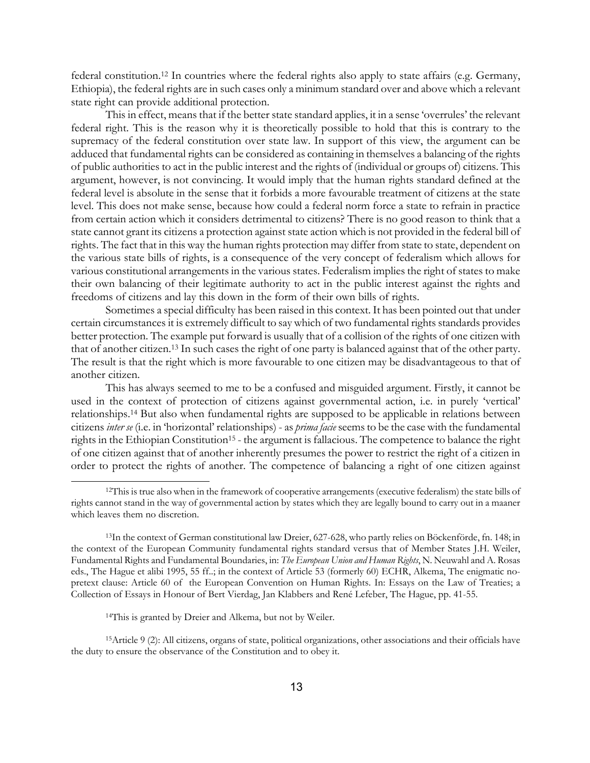federal constitution.[12](#page-12-0) In countries where the federal rights also apply to state affairs (e.g. Germany, Ethiopia), the federal rights are in such cases only a minimum standard over and above which a relevant state right can provide additional protection.

This in effect, means that if the better state standard applies, it in a sense 'overrules' the relevant federal right. This is the reason why it is theoretically possible to hold that this is contrary to the supremacy of the federal constitution over state law. In support of this view, the argument can be adduced that fundamental rights can be considered as containing in themselves a balancing of the rights of public authorities to act in the public interest and the rights of (individual or groups of) citizens. This argument, however, is not convincing. It would imply that the human rights standard defined at the federal level is absolute in the sense that it forbids a more favourable treatment of citizens at the state level. This does not make sense, because how could a federal norm force a state to refrain in practice from certain action which it considers detrimental to citizens? There is no good reason to think that a state cannot grant its citizens a protection against state action which is not provided in the federal bill of rights. The fact that in this way the human rights protection may differ from state to state, dependent on the various state bills of rights, is a consequence of the very concept of federalism which allows for various constitutional arrangements in the various states. Federalism implies the right of states to make their own balancing of their legitimate authority to act in the public interest against the rights and freedoms of citizens and lay this down in the form of their own bills of rights.

Sometimes a special difficulty has been raised in this context. It has been pointed out that under certain circumstances it is extremely difficult to say which of two fundamental rights standards provides better protection. The example put forward is usually that of a collision of the rights of one citizen with that of another citizen.[13](#page-12-1) In such cases the right of one party is balanced against that of the other party. The result is that the right which is more favourable to one citizen may be disadvantageous to that of another citizen.

This has always seemed to me to be a confused and misguided argument. Firstly, it cannot be used in the context of protection of citizens against governmental action, i.e. in purely 'vertical' relationships[.14](#page-12-2) But also when fundamental rights are supposed to be applicable in relations between citizens *inter se* (i.e. in 'horizontal' relationships) - as *prima facie* seems to be the case with the fundamental rights in the Ethiopian Constitution<sup>15</sup> - the argument is fallacious. The competence to balance the right of one citizen against that of another inherently presumes the power to restrict the right of a citizen in order to protect the rights of another. The competence of balancing a right of one citizen against

<span id="page-12-1"></span>13In the context of German constitutional law Dreier, 627-628, who partly relies on Böckenförde, fn. 148; in the context of the European Community fundamental rights standard versus that of Member States J.H. Weiler, Fundamental Rights and Fundamental Boundaries, in: *The European Union and Human Rights*, N. Neuwahl and A. Rosas eds., The Hague et alibi 1995, 55 ff..; in the context of Article 53 (formerly 60) ECHR, Alkema, The enigmatic nopretext clause: Article 60 of the European Convention on Human Rights. In: Essays on the Law of Treaties; a Collection of Essays in Honour of Bert Vierdag, Jan Klabbers and René Lefeber, The Hague, pp. 41-55.

<span id="page-12-0"></span>l

15Article 9 (2): All citizens, organs of state, political organizations, other associations and their officials have the duty to ensure the observance of the Constitution and to obey it.

<sup>12</sup>This is true also when in the framework of cooperative arrangements (executive federalism) the state bills of rights cannot stand in the way of governmental action by states which they are legally bound to carry out in a maaner which leaves them no discretion.

<span id="page-12-3"></span><span id="page-12-2"></span><sup>14</sup>This is granted by Dreier and Alkema, but not by Weiler.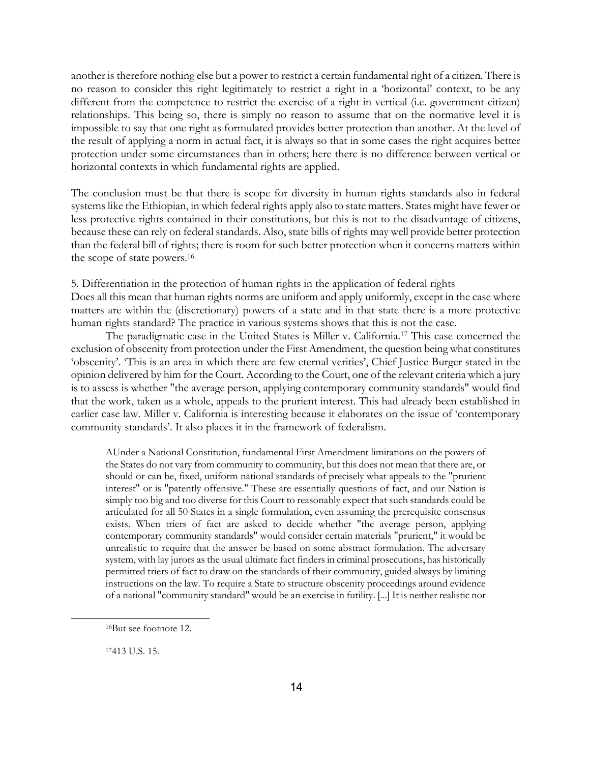another is therefore nothing else but a power to restrict a certain fundamental right of a citizen. There is no reason to consider this right legitimately to restrict a right in a 'horizontal' context, to be any different from the competence to restrict the exercise of a right in vertical (i.e. government-citizen) relationships. This being so, there is simply no reason to assume that on the normative level it is impossible to say that one right as formulated provides better protection than another. At the level of the result of applying a norm in actual fact, it is always so that in some cases the right acquires better protection under some circumstances than in others; here there is no difference between vertical or horizontal contexts in which fundamental rights are applied.

The conclusion must be that there is scope for diversity in human rights standards also in federal systems like the Ethiopian, in which federal rights apply also to state matters. States might have fewer or less protective rights contained in their constitutions, but this is not to the disadvantage of citizens, because these can rely on federal standards. Also, state bills of rights may well provide better protection than the federal bill of rights; there is room for such better protection when it concerns matters within the scope of state powers[.16](#page-13-0)

5. Differentiation in the protection of human rights in the application of federal rights

Does all this mean that human rights norms are uniform and apply uniformly, except in the case where matters are within the (discretionary) powers of a state and in that state there is a more protective human rights standard? The practice in various systems shows that this is not the case.

The paradigmatic case in the United States is Miller v. California.[17](#page-13-1) This case concerned the exclusion of obscenity from protection under the First Amendment, the question being what constitutes 'obscenity'. 'This is an area in which there are few eternal verities', Chief Justice Burger stated in the opinion delivered by him for the Court. According to the Court, one of the relevant criteria which a jury is to assess is whether "the average person, applying contemporary community standards" would find that the work, taken as a whole, appeals to the prurient interest. This had already been established in earlier case law. Miller v. California is interesting because it elaborates on the issue of 'contemporary community standards'. It also places it in the framework of federalism.

AUnder a National Constitution, fundamental First Amendment limitations on the powers of the States do not vary from community to community, but this does not mean that there are, or should or can be, fixed, uniform national standards of precisely what appeals to the "prurient interest" or is "patently offensive." These are essentially questions of fact, and our Nation is simply too big and too diverse for this Court to reasonably expect that such standards could be articulated for all 50 States in a single formulation, even assuming the prerequisite consensus exists. When triers of fact are asked to decide whether "the average person, applying contemporary community standards" would consider certain materials "prurient," it would be unrealistic to require that the answer be based on some abstract formulation. The adversary system, with lay jurors as the usual ultimate fact finders in criminal prosecutions, has historically permitted triers of fact to draw on the standards of their community, guided always by limiting instructions on the law. To require a State to structure obscenity proceedings around evidence of a national "community standard" would be an exercise in futility. [...] It is neither realistic nor

<span id="page-13-0"></span><sup>16</sup>But see footnote 12.

<span id="page-13-1"></span><sup>17413</sup> U.S. 15.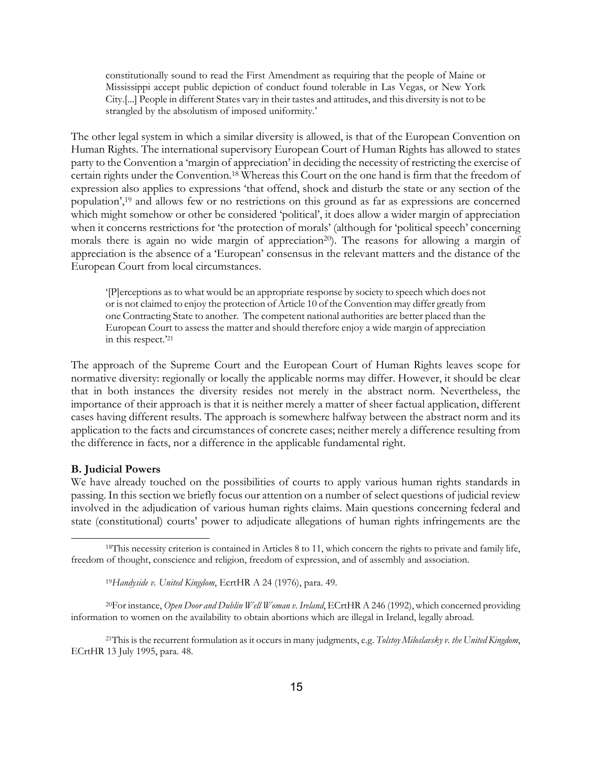constitutionally sound to read the First Amendment as requiring that the people of Maine or Mississippi accept public depiction of conduct found tolerable in Las Vegas, or New York City.[...] People in different States vary in their tastes and attitudes, and this diversity is not to be strangled by the absolutism of imposed uniformity.'

The other legal system in which a similar diversity is allowed, is that of the European Convention on Human Rights. The international supervisory European Court of Human Rights has allowed to states party to the Convention a 'margin of appreciation' in deciding the necessity of restricting the exercise of certain rights under the Convention[.18](#page-14-0) Whereas this Court on the one hand is firm that the freedom of expression also applies to expressions 'that offend, shock and disturb the state or any section of the population'[,19](#page-14-1) and allows few or no restrictions on this ground as far as expressions are concerned which might somehow or other be considered 'political', it does allow a wider margin of appreciation when it concerns restrictions for 'the protection of morals' (although for 'political speech' concerning morals there is again no wide margin of appreciation<sup>20</sup>). The reasons for allowing a margin of appreciation is the absence of a 'European' consensus in the relevant matters and the distance of the European Court from local circumstances.

'[P]erceptions as to what would be an appropriate response by society to speech which does not or is not claimed to enjoy the protection of Article 10 of the Convention may differ greatly from one Contracting State to another. The competent national authorities are better placed than the European Court to assess the matter and should therefore enjoy a wide margin of appreciation in this respect.['21](#page-14-3)

The approach of the Supreme Court and the European Court of Human Rights leaves scope for normative diversity: regionally or locally the applicable norms may differ. However, it should be clear that in both instances the diversity resides not merely in the abstract norm. Nevertheless, the importance of their approach is that it is neither merely a matter of sheer factual application, different cases having different results. The approach is somewhere halfway between the abstract norm and its application to the facts and circumstances of concrete cases; neither merely a difference resulting from the difference in facts, nor a difference in the applicable fundamental right.

### **B. Judicial Powers**

l

We have already touched on the possibilities of courts to apply various human rights standards in passing. In this section we briefly focus our attention on a number of select questions of judicial review involved in the adjudication of various human rights claims. Main questions concerning federal and state (constitutional) courts' power to adjudicate allegations of human rights infringements are the

20For instance, *Open Door and Dublin Well Woman v. Ireland*, ECrtHR A 246 (1992), which concerned providing information to women on the availability to obtain abortions which are illegal in Ireland, legally abroad.

<span id="page-14-3"></span>21This is the recurrent formulation as it occurs in many judgments, e.g. *Tolstoy Miloslavsky v. the United Kingdom*, ECrtHR 13 July 1995, para. 48.

<sup>18</sup>This necessity criterion is contained in Articles 8 to 11, which concern the rights to private and family life, freedom of thought, conscience and religion, freedom of expression, and of assembly and association.

<span id="page-14-2"></span><span id="page-14-1"></span><span id="page-14-0"></span><sup>19</sup>*Handyside v. United Kingdom*, EcrtHR A 24 (1976), para. 49.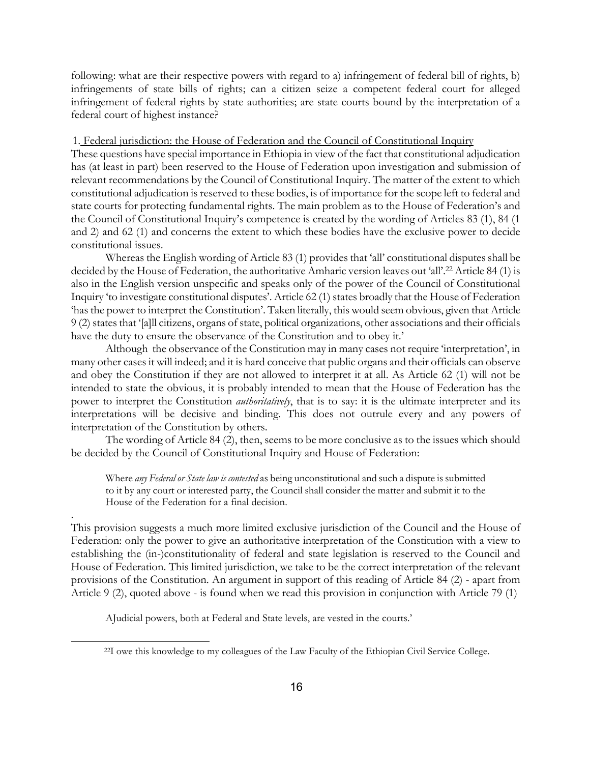following: what are their respective powers with regard to a) infringement of federal bill of rights, b) infringements of state bills of rights; can a citizen seize a competent federal court for alleged infringement of federal rights by state authorities; are state courts bound by the interpretation of a federal court of highest instance?

### 1. Federal jurisdiction: the House of Federation and the Council of Constitutional Inquiry

These questions have special importance in Ethiopia in view of the fact that constitutional adjudication has (at least in part) been reserved to the House of Federation upon investigation and submission of relevant recommendations by the Council of Constitutional Inquiry. The matter of the extent to which constitutional adjudication is reserved to these bodies, is of importance for the scope left to federal and state courts for protecting fundamental rights. The main problem as to the House of Federation's and the Council of Constitutional Inquiry's competence is created by the wording of Articles 83 (1), 84 (1 and 2) and 62 (1) and concerns the extent to which these bodies have the exclusive power to decide constitutional issues.

Whereas the English wording of Article 83 (1) provides that 'all' constitutional disputes shall be decided by the House of Federation, the authoritative Amharic version leaves out 'all'.<sup>22</sup> Article 84 (1) is also in the English version unspecific and speaks only of the power of the Council of Constitutional Inquiry 'to investigate constitutional disputes'. Article 62 (1) states broadly that the House of Federation 'has the power to interpret the Constitution'. Taken literally, this would seem obvious, given that Article 9 (2) states that '[a]ll citizens, organs of state, political organizations, other associations and their officials have the duty to ensure the observance of the Constitution and to obey it.'

Although the observance of the Constitution may in many cases not require 'interpretation', in many other cases it will indeed; and it is hard conceive that public organs and their officials can observe and obey the Constitution if they are not allowed to interpret it at all. As Article 62 (1) will not be intended to state the obvious, it is probably intended to mean that the House of Federation has the power to interpret the Constitution *authoritatively*, that is to say: it is the ultimate interpreter and its interpretations will be decisive and binding. This does not outrule every and any powers of interpretation of the Constitution by others.

The wording of Article 84 (2), then, seems to be more conclusive as to the issues which should be decided by the Council of Constitutional Inquiry and House of Federation:

Where *any Federal or State law is contested* as being unconstitutional and such a dispute is submitted to it by any court or interested party, the Council shall consider the matter and submit it to the House of the Federation for a final decision.

This provision suggests a much more limited exclusive jurisdiction of the Council and the House of Federation: only the power to give an authoritative interpretation of the Constitution with a view to establishing the (in-)constitutionality of federal and state legislation is reserved to the Council and House of Federation. This limited jurisdiction, we take to be the correct interpretation of the relevant provisions of the Constitution. An argument in support of this reading of Article 84 (2) - apart from Article 9 (2), quoted above - is found when we read this provision in conjunction with Article 79 (1)

AJudicial powers, both at Federal and State levels, are vested in the courts.'

.

<span id="page-15-0"></span><sup>22</sup>I owe this knowledge to my colleagues of the Law Faculty of the Ethiopian Civil Service College.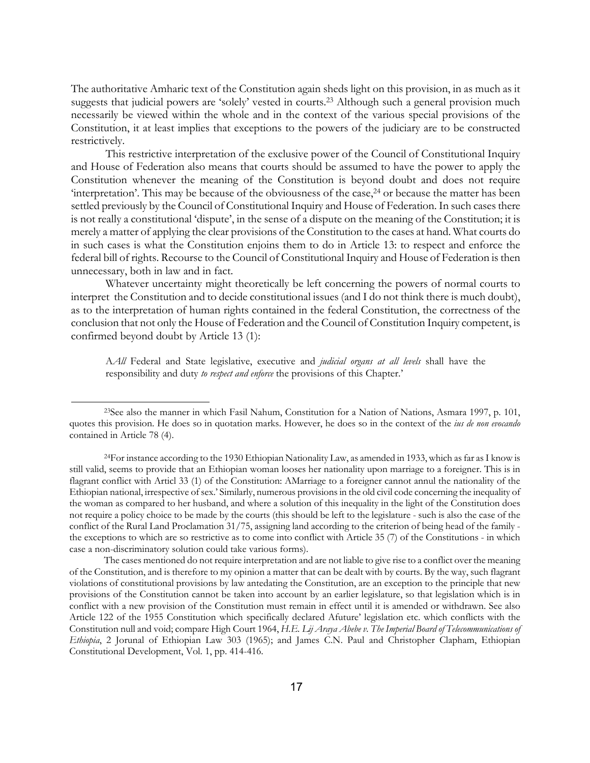The authoritative Amharic text of the Constitution again sheds light on this provision, in as much as it suggests that judicial powers are 'solely' vested in courts.<sup>23</sup> Although such a general provision much necessarily be viewed within the whole and in the context of the various special provisions of the Constitution, it at least implies that exceptions to the powers of the judiciary are to be constructed restrictively.

This restrictive interpretation of the exclusive power of the Council of Constitutional Inquiry and House of Federation also means that courts should be assumed to have the power to apply the Constitution whenever the meaning of the Constitution is beyond doubt and does not require 'interpretation'. This may be because of the obviousness of the case,<sup>24</sup> or because the matter has been settled previously by the Council of Constitutional Inquiry and House of Federation. In such cases there is not really a constitutional 'dispute', in the sense of a dispute on the meaning of the Constitution; it is merely a matter of applying the clear provisions of the Constitution to the cases at hand. What courts do in such cases is what the Constitution enjoins them to do in Article 13: to respect and enforce the federal bill of rights. Recourse to the Council of Constitutional Inquiry and House of Federation is then unnecessary, both in law and in fact.

Whatever uncertainty might theoretically be left concerning the powers of normal courts to interpret the Constitution and to decide constitutional issues (and I do not think there is much doubt), as to the interpretation of human rights contained in the federal Constitution, the correctness of the conclusion that not only the House of Federation and the Council of Constitution Inquiry competent, is confirmed beyond doubt by Article 13 (1):

A*All* Federal and State legislative, executive and *judicial organs at all levels* shall have the responsibility and duty *to respect and enforce* the provisions of this Chapter.'

<span id="page-16-0"></span><sup>23</sup>See also the manner in which Fasil Nahum, Constitution for a Nation of Nations, Asmara 1997, p. 101, quotes this provision. He does so in quotation marks. However, he does so in the context of the *ius de non evocando* contained in Article 78 (4).

<span id="page-16-1"></span><sup>24</sup>For instance according to the 1930 Ethiopian Nationality Law, as amended in 1933, which as far as I know is still valid, seems to provide that an Ethiopian woman looses her nationality upon marriage to a foreigner. This is in flagrant conflict with Articl 33 (1) of the Constitution: AMarriage to a foreigner cannot annul the nationality of the Ethiopian national, irrespective of sex.' Similarly, numerous provisions in the old civil code concerning the inequality of the woman as compared to her husband, and where a solution of this inequality in the light of the Constitution does not require a policy choice to be made by the courts (this should be left to the legislature - such is also the case of the conflict of the Rural Land Proclamation 31/75, assigning land according to the criterion of being head of the family the exceptions to which are so restrictive as to come into conflict with Article 35 (7) of the Constitutions - in which case a non-discriminatory solution could take various forms).

The cases mentioned do not require interpretation and are not liable to give rise to a conflict over the meaning of the Constitution, and is therefore to my opinion a matter that can be dealt with by courts. By the way, such flagrant violations of constitutional provisions by law antedating the Constitution, are an exception to the principle that new provisions of the Constitution cannot be taken into account by an earlier legislature, so that legislation which is in conflict with a new provision of the Constitution must remain in effect until it is amended or withdrawn. See also Article 122 of the 1955 Constitution which specifically declared Afuture' legislation etc. which conflicts with the Constitution null and void; compare High Court 1964, *H.E. Lij Araya Abebe v. The Imperial Board of Telecommunications of Ethiopia*, 2 Jorunal of Ethiopian Law 303 (1965); and James C.N. Paul and Christopher Clapham, Ethiopian Constitutional Development, Vol. 1, pp. 414-416.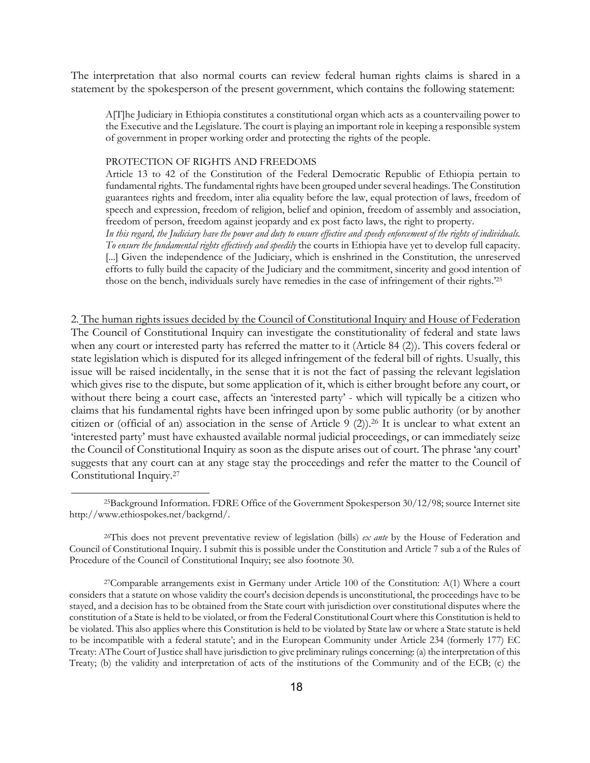<span id="page-17-2"></span>The interpretation that also normal courts can review federal human rights claims is shared in a statement by the spokesperson of the present government, which contains the following statement:

A[T]he Judiciary in Ethiopia constitutes a constitutional organ which acts as a countervailing power to the Executive and the Legislature. The court is playing an important role in keeping a responsible system of government in proper working order and protecting the rights of the people.

#### PROTECTION OF RIGHTS AND FREEDOMS

<span id="page-17-0"></span>l

Article 13 to 42 of the Constitution of the Federal Democratic Republic of Ethiopia pertain to fundamental rights. The fundamental rights have been grouped under several headings. The Constitution guarantees rights and freedom, inter alia equality before the law, equal protection of laws, freedom of speech and expression, freedom of religion, belief and opinion, freedom of assembly and association, freedom of person, freedom against jeopardy and ex post facto laws, the right to property.

*In this regard, the Judiciary have the power and duty to ensure effective and speedy enforcement of the rights of individuals. To ensure the fundamental rights effectively and speedily* the courts in Ethiopia have yet to develop full capacity. [...] Given the independence of the Judiciary, which is enshrined in the Constitution, the unreserved efforts to fully build the capacity of the Judiciary and the commitment, sincerity and good intention of those on the bench, individuals surely have remedies in the case of infringement of their rights.['25](#page-17-0)

2. The human rights issues decided by the Council of Constitutional Inquiry and House of Federation The Council of Constitutional Inquiry can investigate the constitutionality of federal and state laws when any court or interested party has referred the matter to it (Article 84 (2)). This covers federal or state legislation which is disputed for its alleged infringement of the federal bill of rights. Usually, this issue will be raised incidentally, in the sense that it is not the fact of passing the relevant legislation which gives rise to the dispute, but some application of it, which is either brought before any court, or without there being a court case, affects an 'interested party' - which will typically be a citizen who claims that his fundamental rights have been infringed upon by some public authority (or by another citizen or (official of an) association in the sense of Article 9 (2)).[26](#page-17-1) It is unclear to what extent an 'interested party' must have exhausted available normal judicial proceedings, or can immediately seize the Council of Constitutional Inquiry as soon as the dispute arises out of court. The phrase 'any court' suggests that any court can at any stage stay the proceedings and refer the matter to the Council of Constitutional Inquiry[.27](#page-17-2)

<span id="page-17-1"></span>26This does not prevent preventative review of legislation (bills) *ex ante* by the House of Federation and Council of Constitutional Inquiry. I submit this is possible under the Constitution and Article 7 sub a of the Rules of Procedure of the Council of Constitutional Inquiry; see also footnote 30.

<sup>25</sup>Background Information. FDRE Office of the Government Spokesperson 30/12/98; source Internet site http://www.ethiospokes.net/backgrnd/.

<sup>27</sup>Comparable arrangements exist in Germany under Article 100 of the Constitution: A(1) Where a court considers that a statute on whose validity the court's decision depends is unconstitutional, the proceedings have to be stayed, and a decision has to be obtained from the State court with jurisdiction over constitutional disputes where the constitution of a State is held to be violated, or from the Federal Constitutional Court where this Constitution is held to be violated. This also applies where this Constitution is held to be violated by State law or where a State statute is held to be incompatible with a federal statute'; and in the European Community under Article 234 (formerly 177) EC Treaty: AThe Court of Justice shall have jurisdiction to give preliminary rulings concerning: (a) the interpretation of this Treaty; (b) the validity and interpretation of acts of the institutions of the Community and of the ECB; (c) the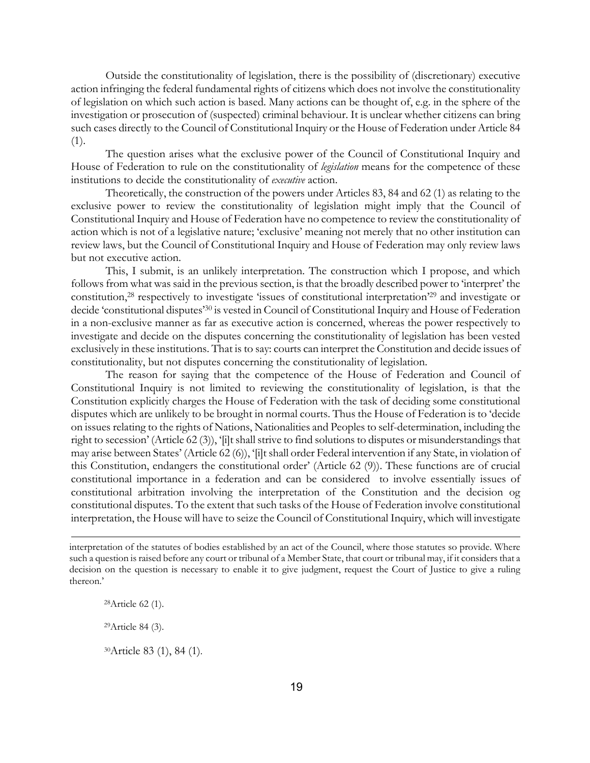Outside the constitutionality of legislation, there is the possibility of (discretionary) executive action infringing the federal fundamental rights of citizens which does not involve the constitutionality of legislation on which such action is based. Many actions can be thought of, e.g. in the sphere of the investigation or prosecution of (suspected) criminal behaviour. It is unclear whether citizens can bring such cases directly to the Council of Constitutional Inquiry or the House of Federation under Article 84 (1).

The question arises what the exclusive power of the Council of Constitutional Inquiry and House of Federation to rule on the constitutionality of *legislation* means for the competence of these institutions to decide the constitutionality of *executive* action.

Theoretically, the construction of the powers under Articles 83, 84 and 62 (1) as relating to the exclusive power to review the constitutionality of legislation might imply that the Council of Constitutional Inquiry and House of Federation have no competence to review the constitutionality of action which is not of a legislative nature; 'exclusive' meaning not merely that no other institution can review laws, but the Council of Constitutional Inquiry and House of Federation may only review laws but not executive action.

This, I submit, is an unlikely interpretation. The construction which I propose, and which follows from what was said in the previous section, is that the broadly described power to 'interpret' the constitution[,28](#page-18-0) respectively to investigate 'issues of constitutional interpretation'[29](#page-18-1) and investigate or decide 'constitutional disputes'[30 i](#page-18-2)s vested in Council of Constitutional Inquiry and House of Federation in a non-exclusive manner as far as executive action is concerned, whereas the power respectively to investigate and decide on the disputes concerning the constitutionality of legislation has been vested exclusively in these institutions. That is to say: courts can interpret the Constitution and decide issues of constitutionality, but not disputes concerning the constitutionality of legislation.

The reason for saying that the competence of the House of Federation and Council of Constitutional Inquiry is not limited to reviewing the constitutionality of legislation, is that the Constitution explicitly charges the House of Federation with the task of deciding some constitutional disputes which are unlikely to be brought in normal courts. Thus the House of Federation is to 'decide on issues relating to the rights of Nations, Nationalities and Peoples to self-determination, including the right to secession' (Article 62 (3)), '[i]t shall strive to find solutions to disputes or misunderstandings that may arise between States' (Article 62 (6)), '[i]t shall order Federal intervention if any State, in violation of this Constitution, endangers the constitutional order' (Article 62 (9)). These functions are of crucial constitutional importance in a federation and can be considered to involve essentially issues of constitutional arbitration involving the interpretation of the Constitution and the decision og constitutional disputes. To the extent that such tasks of the House of Federation involve constitutional interpretation, the House will have to seize the Council of Constitutional Inquiry, which will investigate

<span id="page-18-0"></span>28Article 62 (1).

l

<span id="page-18-1"></span>29Article 84 (3).

<span id="page-18-2"></span>30Article 83 (1), 84 (1).

interpretation of the statutes of bodies established by an act of the Council, where those statutes so provide. Where such a question is raised before any court or tribunal of a Member State, that court or tribunal may, if it considers that a decision on the question is necessary to enable it to give judgment, request the Court of Justice to give a ruling thereon.'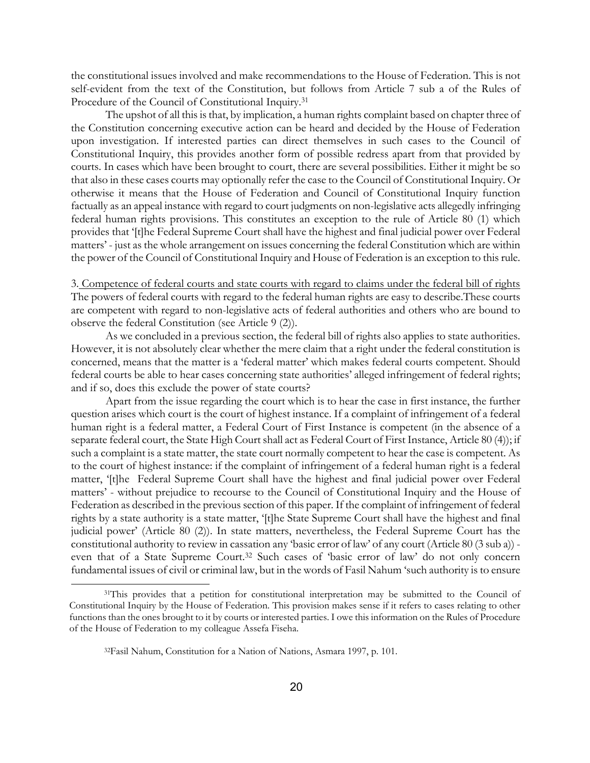the constitutional issues involved and make recommendations to the House of Federation. This is not self-evident from the text of the Constitution, but follows from Article 7 sub a of the Rules of Procedure of the Council of Constitutional Inquiry.<sup>[31](#page-19-0)</sup>

The upshot of all this is that, by implication, a human rights complaint based on chapter three of the Constitution concerning executive action can be heard and decided by the House of Federation upon investigation. If interested parties can direct themselves in such cases to the Council of Constitutional Inquiry, this provides another form of possible redress apart from that provided by courts. In cases which have been brought to court, there are several possibilities. Either it might be so that also in these cases courts may optionally refer the case to the Council of Constitutional Inquiry. Or otherwise it means that the House of Federation and Council of Constitutional Inquiry function factually as an appeal instance with regard to court judgments on non-legislative acts allegedly infringing federal human rights provisions. This constitutes an exception to the rule of Article 80 (1) which provides that '[t]he Federal Supreme Court shall have the highest and final judicial power over Federal matters' - just as the whole arrangement on issues concerning the federal Constitution which are within the power of the Council of Constitutional Inquiry and House of Federation is an exception to this rule.

3. Competence of federal courts and state courts with regard to claims under the federal bill of rights The powers of federal courts with regard to the federal human rights are easy to describe.These courts are competent with regard to non-legislative acts of federal authorities and others who are bound to observe the federal Constitution (see Article 9 (2)).

As we concluded in a previous section, the federal bill of rights also applies to state authorities. However, it is not absolutely clear whether the mere claim that a right under the federal constitution is concerned, means that the matter is a 'federal matter' which makes federal courts competent. Should federal courts be able to hear cases concerning state authorities' alleged infringement of federal rights; and if so, does this exclude the power of state courts?

Apart from the issue regarding the court which is to hear the case in first instance, the further question arises which court is the court of highest instance. If a complaint of infringement of a federal human right is a federal matter, a Federal Court of First Instance is competent (in the absence of a separate federal court, the State High Court shall act as Federal Court of First Instance, Article 80 (4)); if such a complaint is a state matter, the state court normally competent to hear the case is competent. As to the court of highest instance: if the complaint of infringement of a federal human right is a federal matter, '[t]he Federal Supreme Court shall have the highest and final judicial power over Federal matters' - without prejudice to recourse to the Council of Constitutional Inquiry and the House of Federation as described in the previous section of this paper. If the complaint of infringement of federal rights by a state authority is a state matter, '[t]he State Supreme Court shall have the highest and final judicial power' (Article 80 (2)). In state matters, nevertheless, the Federal Supreme Court has the constitutional authority to review in cassation any 'basic error of law' of any court (Article 80 (3 sub a)) even that of a State Supreme Court.<sup>32</sup> Such cases of 'basic error of law' do not only concern fundamental issues of civil or criminal law, but in the words of Fasil Nahum 'such authority is to ensure

<span id="page-19-0"></span><sup>&</sup>lt;sup>31</sup>This provides that a petition for constitutional interpretation may be submitted to the Council of Constitutional Inquiry by the House of Federation. This provision makes sense if it refers to cases relating to other functions than the ones brought to it by courts or interested parties. I owe this information on the Rules of Procedure of the House of Federation to my colleague Assefa Fiseha.

<span id="page-19-1"></span><sup>32</sup>Fasil Nahum, Constitution for a Nation of Nations, Asmara 1997, p. 101.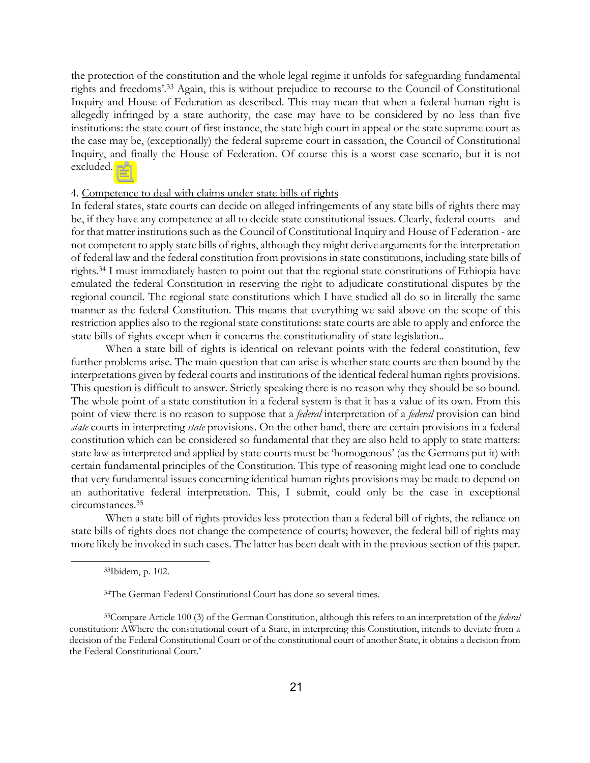the protection of the constitution and the whole legal regime it unfolds for safeguarding fundamental rights and freedoms'.[33](#page-20-0) Again, this is without prejudice to recourse to the Council of Constitutional Inquiry and House of Federation as described. This may mean that when a federal human right is allegedly infringed by a state authority, the case may have to be considered by no less than five institutions: the state court of first instance, the state high court in appeal or the state supreme court as the case may be, (exceptionally) the federal supreme court in cassation, the Council of Constitutional Inquiry, and finally the House of Federation. Of course this is a worst case scenario, but it is not excluded.

### 4. Competence to deal with claims under state bills of rights

In federal states, state courts can decide on alleged infringements of any state bills of rights there may be, if they have any competence at all to decide state constitutional issues. Clearly, federal courts - and for that matter institutions such as the Council of Constitutional Inquiry and House of Federation - are not competent to apply state bills of rights, although they might derive arguments for the interpretation of federal law and the federal constitution from provisions in state constitutions, including state bills of rights[.34](#page-20-1) I must immediately hasten to point out that the regional state constitutions of Ethiopia have emulated  $\equiv$  federal Constitution in reserving the right to adjudicate constitutional disputes by the regional council. The regional state constitutions which I have studied all do so in literally the same manner as the federal Constitution. This means that everything we said above on the scope of this restriction applies also to the regional state constitutions: state courts are able to apply and enforce the state bills of rights except when it concerns the constitutionality of state legislation..

When a state bill of rights is identical on relevant points with the federal constitution, few further problems arise. The main question that can arise is whether state courts are then bound by the interpretations given by federal courts and institutions of the identical federal human rights provisions. This question is difficult to answer. Strictly speaking there is no reason why they should be so bound. The whole point of a state constitution in a federal system is that it has a value of its own. From this point of view there is no reason to suppose that a *federal* interpretation of a *federal* provision can bind *state* courts in interpreting *state* provisions. On the other hand, there are certain provisions in a federal constitution which can be considered so fundamental that they are also held to apply to state matters: state law as interpreted and applied by state courts must be 'homogenous' (as the Germans put it) with certain fundamental principles of the Constitution. This type of reasoning might lead one to conclude that very fundamental issues concerning identical human rights provisions may be made to depend on an authoritative federal interpretation. This, I submit, could only be the case in exceptional circumstances[.35](#page-20-2)

When a state bill of rights provides less protection than a federal bill of rights, the reliance on state bills of rights does not change the competence of courts; however, the federal bill of rights may more likely be invoked in such cases. The latter has been dealt with in the previous section of this paper.

<span id="page-20-0"></span><sup>33</sup>Ibidem, p. 102.

<span id="page-20-2"></span><span id="page-20-1"></span><sup>34</sup>The German Federal Constitutional Court has done so several times.

<sup>35</sup>Compare Article 100 (3) of the German Constitution, although this refers to an interpretation of the *federal* constitution: AWhere the constitutional court of a State, in interpreting this Constitution, intends to deviate from a decision of the Federal Constitutional Court or of the constitutional court of another State, it obtains a decision from the Federal Constitutional Court.'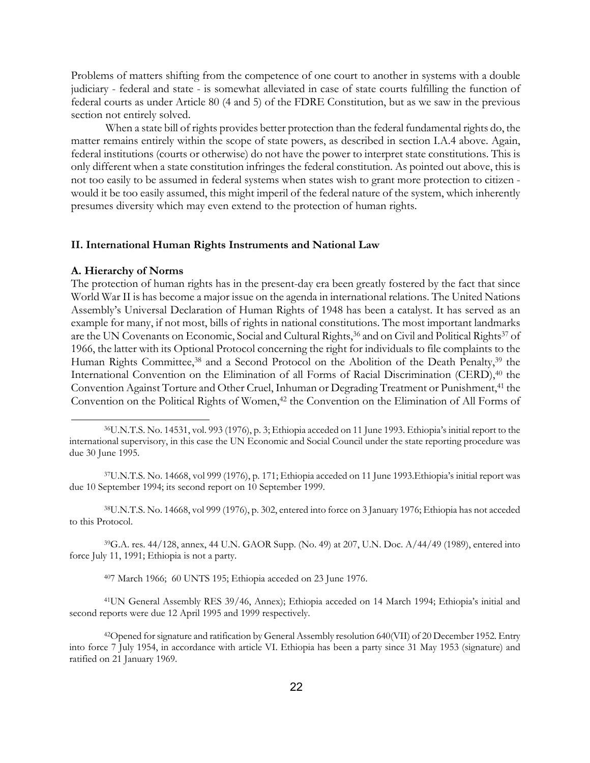Problems of matters shifting from the competence of one court to another in systems with a double judiciary - federal and state - is somewhat alleviated in case of state courts fulfilling the function of federal courts as under Article 80 (4 and 5) of the FDRE Constitution, but as we saw in the previous section not entirely solved.

When a state bill of rights provides better protection than the federal fundamental rights do, the matter remains entirely within the scope of state powers, as described in section I.A.4 above. Again, federal institutions (courts or otherwise) do not have the power to interpret state constitutions. This is only different when a state constitution infringes the federal constitution. As pointed out above, this is not too easily to be assumed in federal systems when states wish to grant more protection to citizen would it be too easily assumed, this might imperil of the federal nature of the system, which inherently presumes diversity which may even extend to the protection of human rights.

## **II. International Human Rights Instruments and National Law**

#### **A. Hierarchy of Norms**

<span id="page-21-0"></span>l

The protection of human rights has in the present-day era been greatly fostered by the fact that since World War II is has become a major issue on the agenda in international relations. The United Nations Assembly's Universal Declaration of Human Rights of 1948 has been a catalyst. It has served as an example for many, if not most, bills of rights in national constitutions. The most important landmarks are the UN Covenants on Economic, Social and Cultural Rights,<sup>36</sup> and on Civil and Political Rights<sup>37</sup> of 1966, the latter with its Optional Protocol concerning the right for individuals to file complaints to the Human Rights Committee,<sup>38</sup> and a Second Protocol on the Abolition of the Death Penalty,<sup>39</sup> the International Convention on the Elimination of all Forms of Racial Discrimination (CERD),<sup>40</sup> the Convention Against Torture and Other Cruel, Inhuman or Degrading Treatment or Punishment, [41 t](#page-21-5)he Convention on the Political Rights of Women,<sup>42</sup> the Convention on the Elimination of All Forms of

<span id="page-21-1"></span>37U.N.T.S. No. 14668, vol 999 (1976), p. 171; Ethiopia acceded on 11 June 1993.Ethiopia's initial report was due 10 September 1994; its second report on 10 September 1999.

<span id="page-21-2"></span>38U.N.T.S. No. 14668, vol 999 (1976), p. 302, entered into force on 3 January 1976; Ethiopia has not acceded to this Protocol.

39G.A. res. 44/128, annex, 44 U.N. GAOR Supp. (No. 49) at 207, U.N. Doc. A/44/49 (1989), entered into force July 11, 1991; Ethiopia is not a party.

<span id="page-21-5"></span><span id="page-21-4"></span><span id="page-21-3"></span>407 March 1966; 60 UNTS 195; Ethiopia acceded on 23 June 1976.

41UN General Assembly RES 39/46, Annex); Ethiopia acceded on 14 March 1994; Ethiopia's initial and second reports were due 12 April 1995 and 1999 respectively.

<span id="page-21-6"></span>42Opened for signature and ratification by General Assembly resolution 640(VII) of 20 December 1952. Entry into force 7 July 1954, in accordance with article VI. Ethiopia has been a party since 31 May 1953 (signature) and ratified on 21 January 1969.

<sup>36</sup>U.N.T.S. No. 14531, vol. 993 (1976), p. 3; Ethiopia acceded on 11 June 1993. Ethiopia's initial report to the international supervisory, in this case the UN Economic and Social Council under the state reporting procedure was due 30 June 1995.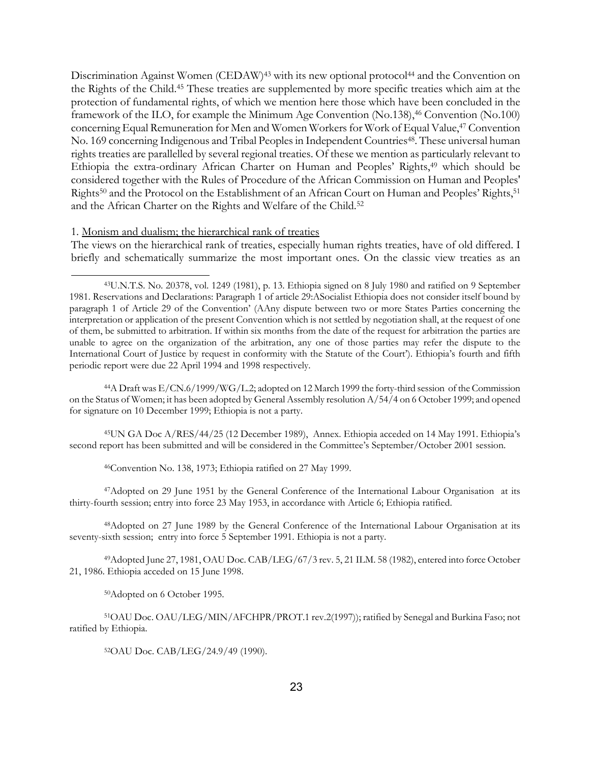Discrimination Against Women (CEDAW)<sup>43</sup> with its new optional protocol<sup>44</sup> and the Convention on the Rights of the Child[.45](#page-22-2) These treaties are supplemented by more specific treaties which aim at the protection of fundamental rights, of which we mention here those which have been concluded in the framework of the ILO, for example the Minimum Age Convention (No.138),<sup>46</sup> Convention (No.100) concerning Equal Remuneration for Men and Women Workers for Work of Equal Value, 4[7 C](#page-22-4)onvention No. 169 concerning Indigenous and Tribal Peoples in Independent Countries<sup>48</sup>. These universal human rights treaties are parallelled by several regional treaties. Of these we mention as particularly relevant to Ethiopia the extra-ordinary African Charter on Human and Peoples' Rights[,49](#page-22-6) which should be considered together with the Rules of Procedure of the African Commission on Human and Peoples' Rights[50](#page-22-7) and the Protocol on the Establishment of an African Court on Human and Peoples' Rights,[51](#page-22-8) and the African Charter on the Rights and Welfare of the Child.<sup>52</sup>

### 1. Monism and dualism; the hierarchical rank of treaties

<span id="page-22-0"></span>l

The views on the hierarchical rank of treaties, especially human rights treaties, have of old differed. I briefly and schematically summarize the most important ones. On the classic view treaties as an

<span id="page-22-1"></span>44A Draft was E/CN.6/1999/WG/L.2; adopted on 12 March 1999 the forty-third session of the Commission on the Status of Women; it has been adopted by General Assembly resolution A/54/4 on 6 October 1999; and opened for signature on 10 December 1999; Ethiopia is not a party.

45UN GA Doc A/RES/44/25 (12 December 1989), Annex. Ethiopia acceded on 14 May 1991. Ethiopia's second report has been submitted and will be considered in the Committee's September/October 2001 session.

<span id="page-22-4"></span><span id="page-22-3"></span><span id="page-22-2"></span>46Convention No. 138, 1973; Ethiopia ratified on 27 May 1999.

47Adopted on 29 June 1951 by the General Conference of the International Labour Organisation at its thirty-fourth session; entry into force 23 May 1953, in accordance with Article 6; Ethiopia ratified.

<span id="page-22-5"></span>48Adopted on 27 June 1989 by the General Conference of the International Labour Organisation at its seventy-sixth session; entry into force 5 September 1991. Ethiopia is not a party.

49Adopted June 27, 1981, OAU Doc. CAB/LEG/67/3 rev. 5, 21 ILM. 58 (1982), entered into force October 21, 1986. Ethiopia acceded on 15 June 1998.

<span id="page-22-8"></span><span id="page-22-7"></span><span id="page-22-6"></span>50Adopted on 6 October 1995.

51OAU Doc. OAU/LEG/MIN/AFCHPR/PROT.1 rev.2(1997)); ratified by Senegal and Burkina Faso; not ratified by Ethiopia.

<span id="page-22-9"></span>52OAU Doc. CAB/LEG/24.9/49 (1990).

<sup>43</sup>U.N.T.S. No. 20378, vol. 1249 (1981), p. 13. Ethiopia signed on 8 July 1980 and ratified on 9 September 1981. Reservations and Declarations: Paragraph 1 of article 29:ASocialist Ethiopia does not consider itself bound by paragraph 1 of Article 29 of the Convention' (AAny dispute between two or more States Parties concerning the interpretation or application of the present Convention which is not settled by negotiation shall, at the request of one of them, be submitted to arbitration. If within six months from the date of the request for arbitration the parties are unable to agree on the organization of the arbitration, any one of those parties may refer the dispute to the International Court of Justice by request in conformity with the Statute of the Court'). Ethiopia's fourth and fifth periodic report were due 22 April 1994 and 1998 respectively.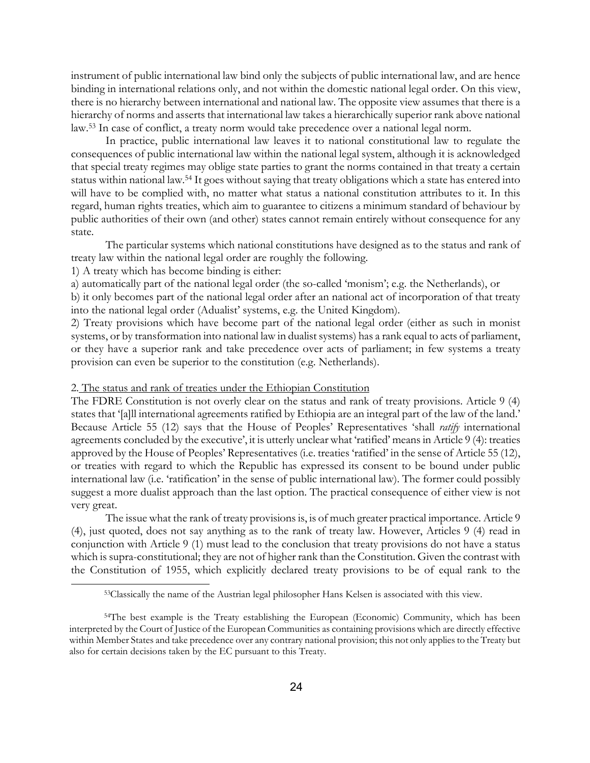instrument of public international law bind only the subjects of public international law, and are hence binding in international relations only, and not within the domestic national legal order. On this view, there is no hierarchy between international and national law. The opposite view assumes that there is a hierarchy of norms and asserts that international law takes a hierarchically superior rank above national law.[53](#page-23-0) In case of conflict, a treaty norm would take precedence over a national legal norm.

In practice, public international law leaves it to national constitutional law to regulate the consequences of public international law within the national legal system, although it is acknowledged that special treaty regimes may oblige state parties to grant the norms contained in that treaty a certain status within national law.[54 I](#page-23-1)t goes without saying that treaty obligations which a state has entered into will have to be complied with, no matter what status a national constitution attributes to it. In this regard, human rights treaties, which aim to guarantee to citizens a minimum standard of behaviour by public authorities of their own (and other) states cannot remain entirely without consequence for any state.

The particular systems which national constitutions have designed as to the status and rank of treaty law within the national legal order are roughly the following.

1) A treaty which has become binding is either:

l

a) automatically part of the national legal order (the so-called 'monism'; e.g. the Netherlands), or

b) it only becomes part of the national legal order after an national act of incorporation of that treaty into the national legal order (Adualist' systems, e.g. the United Kingdom).

2) Treaty provisions which have become part of the national legal order (either as such in monist systems, or by transformation into national law in dualist systems) has a rank equal to acts of parliament, or they have a superior rank and take precedence over acts of parliament; in few systems a treaty provision can even be superior to the constitution (e.g. Netherlands).

### 2. The status and rank of treaties under the Ethiopian Constitution

The FDRE Constitution is not overly clear on the status and rank of treaty provisions. Article 9 (4) states that '[a]ll international agreements ratified by Ethiopia are an integral part of the law of the land.' Because Article 55 (12) says that the House of Peoples' Representatives 'shall *ratify* international agreements concluded by the executive', it is utterly unclear what 'ratified' means in Article 9 (4): treaties approved by the House of Peoples' Representatives (i.e. treaties 'ratified' in the sense of Article 55 (12), or treaties with regard to which the Republic has expressed its consent to be bound under public international law (i.e. 'ratification' in the sense of public international law). The former could possibly suggest a more dualist approach than the last option. The practical consequence of either view is not very great.

The issue what the rank of treaty provisions is, is of much greater practical importance. Article 9 (4), just quoted, does not say anything as to the rank of treaty law. However, Articles 9 (4) read in conjunction with Article 9 (1) must lead to the conclusion that treaty provisions do not have a status which is supra-constitutional; they are not of higher rank than the Constitution. Given the contrast with the Constitution of 1955, which explicitly declared treaty provisions to be of equal rank to the

<span id="page-23-1"></span><span id="page-23-0"></span><sup>53</sup>Classically the name of the Austrian legal philosopher Hans Kelsen is associated with this view.

<sup>54</sup>The best example is the Treaty establishing the European (Economic) Community, which has been interpreted by the Court of Justice of the European Communities as containing provisions which are directly effective within Member States and take precedence over any contrary national provision; this not only appliesto the Treaty but also for certain decisions taken by the EC pursuant to this Treaty.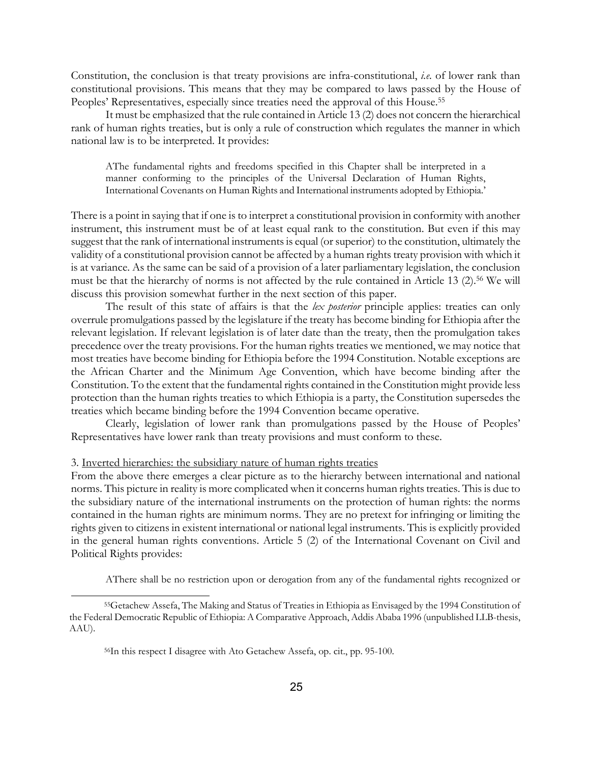Constitution, the conclusion is that treaty provisions are infra-constitutional, *i.e.* of lower rank than constitutional provisions. This means that they may be compared to laws passed by the House of Peoples' Representatives, especially since treaties need the approval of this House.[55](#page-24-0)

It must be emphasized that the rule contained in Article 13 (2) does not concern the hierarchical rank of human rights treaties, but is only a rule of construction which regulates the manner in which national law is to be interpreted. It provides:

AThe fundamental rights and freedoms specified in this Chapter shall be interpreted in a manner conforming to the principles of the Universal Declaration of Human Rights, International Covenants on Human Rights and International instruments adopted by Ethiopia.'

There is a point in saying that if one is to interpret a constitutional provision in conformity with another instrument, this instrument must be of at least equal rank to the constitution. But even if this may suggest that the rank of international instruments is equal (or superior) to the constitution, ultimately the validity of a constitutional provision cannot be affected by a human rights treaty provision with which it is at variance. As the same can be said of a provision of a later parliamentary legislation, the conclusion must be that the hierarchy of norms is not affected by the rule contained in Article 13 (2)[.56](#page-24-1) We will discuss this provision somewhat further in the next section of this paper.

The result of this state of affairs is that the *lex posterior* principle applies: treaties can only overrule promulgations passed by the legislature if the treaty has become binding for Ethiopia after the relevant legislation. If relevant legislation is of later date than the treaty, then the promulgation takes precedence over the treaty provisions. For the human rights treaties we mentioned, we may notice that most treaties have become binding for Ethiopia before the 1994 Constitution. Notable exceptions are the African Charter and the Minimum Age Convention, which have become binding after the Constitution. To the extent that the fundamental rights contained in the Constitution might provide less protection than the human rights treaties to which Ethiopia is a party, the Constitution supersedes the treaties which became binding before the 1994 Convention became operative.

Clearly, legislation of lower rank than promulgations passed by the House of Peoples' Representatives have lower rank than treaty provisions and must conform to these.

#### 3. Inverted hierarchies: the subsidiary nature of human rights treaties

l

From the above there emerges a clear picture as to the hierarchy between international and national norms. This picture in reality is more complicated when it concerns human rights treaties. This is due to the subsidiary nature of the international instruments on the protection of human rights: the norms contained in the human rights are minimum norms. They are no pretext for infringing or limiting the rights given to citizens in existent international or national legal instruments. This is explicitly provided in the general human rights conventions. Article 5 (2) of the International Covenant on Civil and Political Rights provides:

<span id="page-24-0"></span>AThere shall be no restriction upon or derogation from any of the fundamental rights recognized or

<sup>55</sup>Getachew Assefa, The Making and Status of Treaties in Ethiopia as Envisaged by the 1994 Constitution of the Federal Democratic Republic of Ethiopia: A Comparative Approach, Addis Ababa 1996 (unpublished LLB-thesis, AAU).

<span id="page-24-1"></span><sup>56</sup>In this respect I disagree with Ato Getachew Assefa, op. cit., pp. 95-100.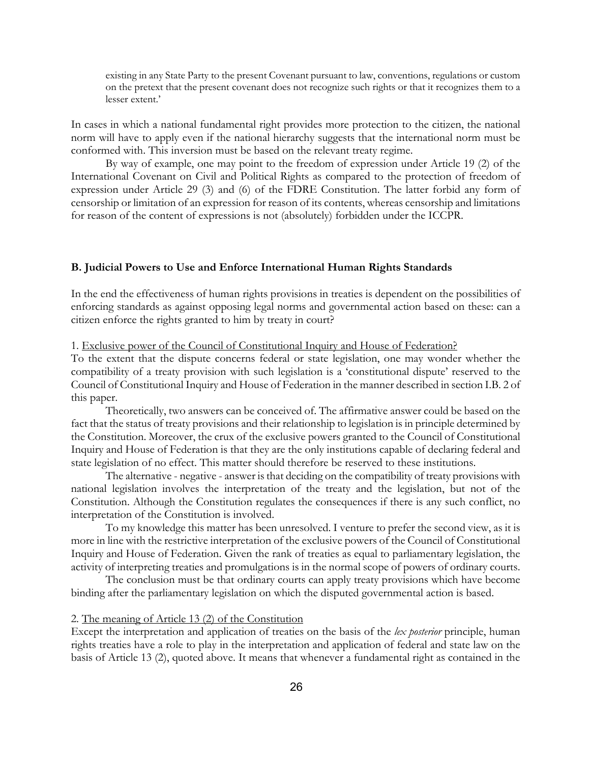existing in any State Party to the present Covenant pursuant to law, conventions, regulations or custom on the pretext that the present covenant does not recognize such rights or that it recognizes them to a lesser extent.'

In cases in which a national fundamental right provides more protection to the citizen, the national norm will have to apply even if the national hierarchy suggests that the international norm must be conformed with. This inversion must be based on the relevant treaty regime.

By way of example, one may point to the freedom of expression under Article 19 (2) of the International Covenant on Civil and Political Rights as compared to the protection of freedom of expression under Article 29 (3) and (6) of the FDRE Constitution. The latter forbid any form of censorship or limitation of an expression for reason of its contents, whereas censorship and limitations for reason of the content of expressions is not (absolutely) forbidden under the ICCPR.

### **B. Judicial Powers to Use and Enforce International Human Rights Standards**

In the end the effectiveness of human rights provisions in treaties is dependent on the possibilities of enforcing standards as against opposing legal norms and governmental action based on these: can a citizen enforce the rights granted to him by treaty in court?

1. Exclusive power of the Council of Constitutional Inquiry and House of Federation?

To the extent that the dispute concerns federal or state legislation, one may wonder whether the compatibility of a treaty provision with such legislation is a 'constitutional dispute' reserved to the Council of Constitutional Inquiry and House of Federation in the manner described in section I.B. 2 of this paper.

Theoretically, two answers can be conceived of. The affirmative answer could be based on the fact that the status of treaty provisions and their relationship to legislation is in principle determined by the Constitution. Moreover, the crux of the exclusive powers granted to the Council of Constitutional Inquiry and House of Federation is that they are the only institutions capable of declaring federal and state legislation of no effect. This matter should therefore be reserved to these institutions.

The alternative - negative - answer is that deciding on the compatibility of treaty provisions with national legislation involves the interpretation of the treaty and the legislation, but not of the Constitution. Although the Constitution regulates the consequences if there is any such conflict, no interpretation of the Constitution is involved.

To my knowledge this matter has been unresolved. I venture to prefer the second view, as it is more in line with the restrictive interpretation of the exclusive powers of the Council of Constitutional Inquiry and House of Federation. Given the rank of treaties as equal to parliamentary legislation, the activity of interpreting treaties and promulgations is in the normal scope of powers of ordinary courts.

The conclusion must be that ordinary courts can apply treaty provisions which have become binding after the parliamentary legislation on which the disputed governmental action is based.

### 2. The meaning of Article 13 (2) of the Constitution

Except the interpretation and application of treaties on the basis of the *lex posterior* principle, human rights treaties have a role to play in the interpretation and application of federal and state law on the basis of Article 13 (2), quoted above. It means that whenever a fundamental right as contained in the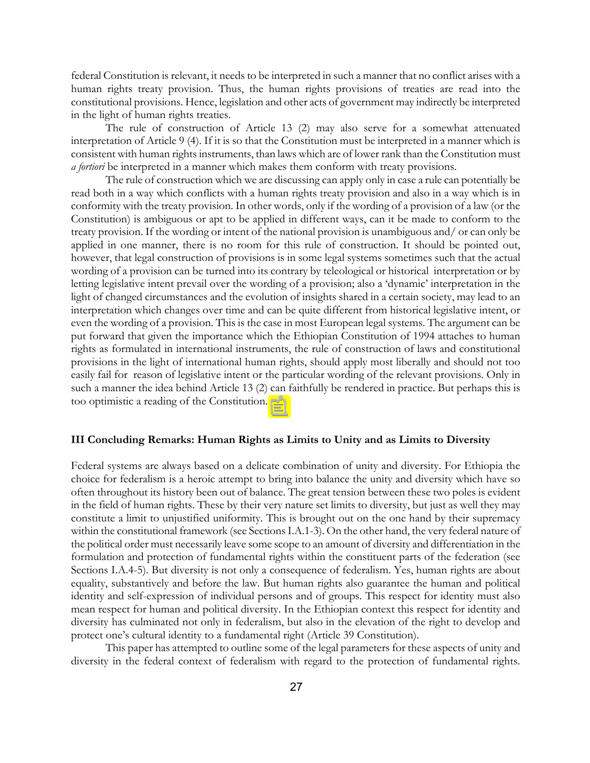federal Constitution is relevant, it needs to be interpreted in such a manner that no conflict arises with a human rights treaty provision. Thus, the human rights provisions of treaties are read into the constitutional provisions. Hence, legislation and other acts of government may indirectly be interpreted in the light of human rights treaties.

The rule of construction of Article 13 (2) may also serve for a somewhat attenuated interpretation of Article 9 (4). If it is so that the Constitution must be interpreted in a manner which is consistent with human rights instruments, than laws which are of lower rank than the Constitution must *a fortiori* be interpreted in a manner which makes them conform with treaty provisions.

The rule of construction which we are discussing can apply only in case a rule can potentially be read both in a way which conflicts with a human rights treaty provision and also in a way which is in conformity with the treaty provision. In other words, only if the wording of a provision of a law (or the Constitution) is ambiguous or apt to be applied in different ways, can it be made to conform to the treaty provision. If the wording or intent of the national provision is unambiguous and/ or can only be applied in one manner, there is no room for this rule of construction. It should be pointed out, however, that legal construction of provisions is in some legal systems sometimes such that the actual wording of a provision can be turned into its contrary by teleological or historical interpretation or by letting legislative intent prevail over the wording of a provision; also a 'dynamic' interpretation in the light of changed circumstances and the evolution of insights shared in a certain society, may lead to an interpretation which changes over time and can be quite different from historical legislative intent, or even the wording of a provision. This is the case in most European legal systems. The argument can be put forward that given the importance which the Ethiopian Constitution of 1994 attaches to human rights as formulated in international instruments, the rule of construction of laws and constitutional provisions in the light of international human rights, should apply most liberally and should not too easily fail for reason of legislative intent or the particular wording of the relevant provisions. Only in such a manner the idea behind Article 13 (2) can faithfully be rendered in practice. But perhaps this is too optimistic a reading of the Constitution.

### **III Concluding Remarks: Human Rights as Limits to Unity and as Limits to Diversity**

Federal systems are always based on a delicate combination of unity and diversity. For Ethiopia the choice for federalism is a heroic attempt to bring into balance the unity and diversity which have so often throughout its history been out of balance. The great tension between these two poles is evident in the field of human rights. These by their very nature set limits to diversity, but just as well they may constitute a limit to unjustified uniformity.  $\boxed{\equiv}$  is brought out on the one hand by their supremacy within the constitutional framework (see Sections I.A.1-3). On the other hand, the very federal nature of the political order must necessarily leave some scope to an amount of diversity and differentiation in the formulation and protection of fundamental rights within the constituent parts of the federation (see Sections I.A.4-5). But diversity is not only a consequence of federalism. Yes, human rights are about equality, substantively and before the law. But human rights also guarantee the human and political identity and self-expression of individual persons and of groups. This respect for identity must also mean respect for human and political diversity. In the Ethiopian context this respect for identity and diversity has culminated not only in federalism, but also in the elevation of the right to develop and protect one's cultural identity to a fundamental right (Article 39 Constitution).

This paper has attempted to outline some of the legal parameters for these aspects of unity and diversity in the federal context of federalism with regard to the protection of fundamental rights.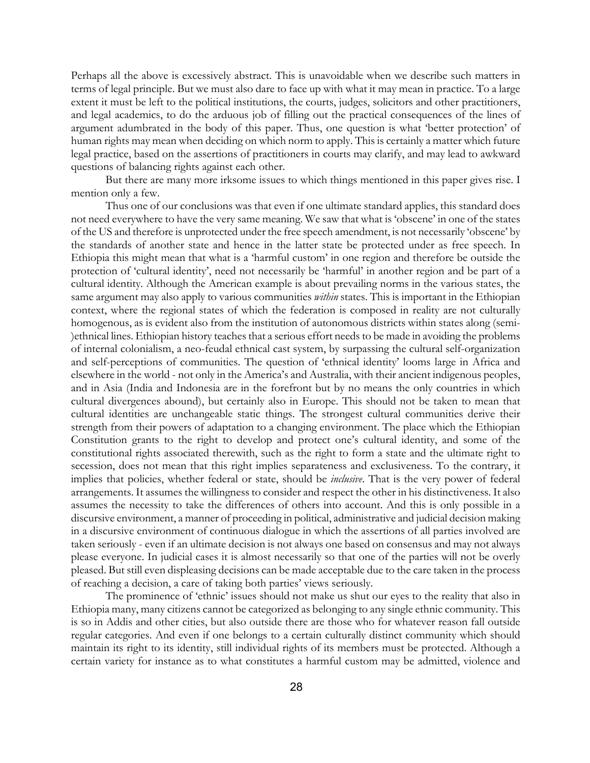Perhaps all the above is excessively abstract. This is unavoidable when we describe such matters in terms of legal principle. But we must also dare to face up with what it may mean in practice. To a large extent it must be left to the political institutions, the courts, judges, solicitors and other practitioners, and legal academics, to do the arduous job of filling out the practical consequences of the lines of argument adumbrated in the body of this paper. Thus, one question is what 'better protection' of human rights may mean when deciding on which norm to apply. This is certainly a matter which future legal practice, based on the assertions of practitioners in courts may clarify, and may lead to awkward questions of balancing rights against each other.

But there are many more irksome issues to which things mentioned in this paper gives rise. I mention only a few.

Thus one of our conclusions was that even if one ultimate standard applies, this standard does not need everywhere to have the very same meaning. We saw that what is 'obscene' in one of the states of the US and therefore is unprotected under the free speech amendment, is not necessarily 'obscene' by the standards of another state and hence in the latter state be protected under as free speech. In Ethiopia this might mean that what is a 'harmful custom' in one region and therefore be outside the protection of 'cultural identity', need not necessarily be 'harmful' in another region and be part of a cultural identity. Although the American example is about prevailing norms in the various states, the same argument may also apply to various communities *within* states. This is important in the Ethiopian context, where the regional states of which the federation is composed in reality are not culturally homogenous, as is evident also from the institution of autonomous districts within states along (semi- )ethnical lines. Ethiopian history teaches that a serious effort needs to be made in avoiding the problems of internal colonialism, a neo-feudal ethnical cast system, by surpassing the cultural self-organization and self-perceptions of communities. The question of 'ethnical identity' looms large in Africa and elsewhere in the world - not only in the America's and Australia, with their ancient indigenous peoples, and in Asia (India and Indonesia are in the forefront but by no means the only countries in which cultural divergences abound), but certainly also in Europe. This should not be taken to mean that cultural identities are unchangeable static things. The strongest cultural communities derive their strength from their powers of adaptation to a changing environment. The place which the Ethiopian Constitution grants to the right to develop and protect one's cultural identity, and some of the constitutional rights associated therewith, such as the right to form a state and the ultimate right to secession, does not mean that this right implies separateness and exclusiveness. To the contrary, it implies that policies, whether federal or state, should be *inclusive*. That is the very power of federal arrangements. It assumes the willingness to consider and respect the other in his distinctiveness. It also assumes the necessity to take the differences of others into account. And this is only possible in a discursive environment, a manner of proceeding in political, administrative and judicial decision making in a discursive environment of continuous dialogue in which the assertions of all parties involved are taken seriously - even if an ultimate decision is not always one based on consensus and may not always please everyone. In judicial cases it is almost necessarily so that one of the parties will not be overly pleased. But still even displeasing decisions can be made acceptable due to the care taken in the process of reaching a decision, a care of taking both parties' views seriously.

The prominence of 'ethnic' issues should not make us shut our eyes to the reality that also in Ethiopia many, many citizens cannot be categorized as belonging to any single ethnic community. This is so in Addis and other cities, but also outside there are those who for whatever reason fall outside regular categories. And even if one belongs to a certain culturally distinct community which should maintain its right to its identity, still individual rights of its members must be protected. Although a certain variety for instance as to what constitutes a harmful custom may be admitted, violence and